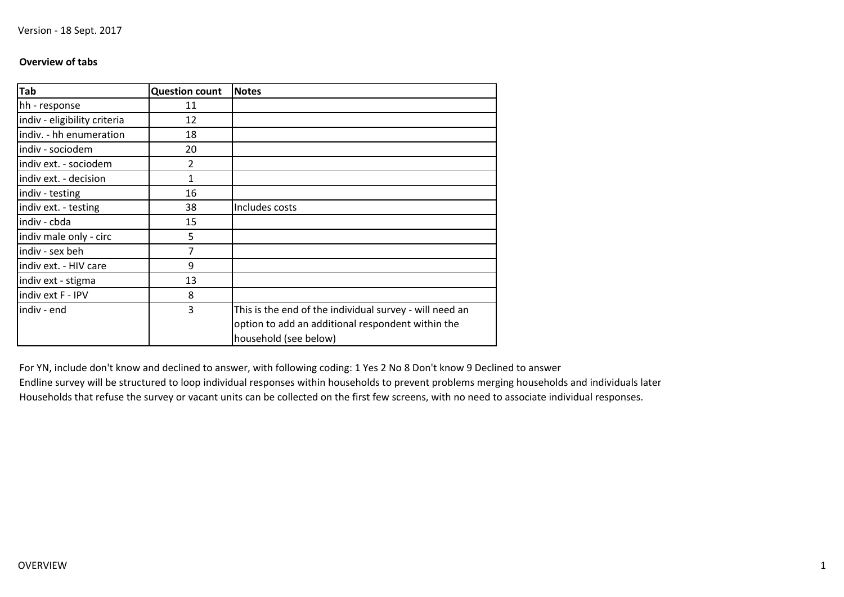# **Overview of tabs**

| <b>Tab</b>                   | <b>Question count</b> | <b>Notes</b>                                            |
|------------------------------|-----------------------|---------------------------------------------------------|
| hh - response                | 11                    |                                                         |
| indiv - eligibility criteria | 12                    |                                                         |
| indiv. - hh enumeration      | 18                    |                                                         |
| indiv - sociodem             | 20                    |                                                         |
| indiv ext. - sociodem        | 2                     |                                                         |
| indiv ext. - decision        | 1                     |                                                         |
| indiv - testing              | 16                    |                                                         |
| indiv ext. - testing         | 38                    | Includes costs                                          |
| indiv - cbda                 | 15                    |                                                         |
| indiv male only - circ       | 5                     |                                                         |
| indiv - sex beh              | 7                     |                                                         |
| indiv ext. - HIV care        | 9                     |                                                         |
| indiv ext - stigma           | 13                    |                                                         |
| indiv ext F - IPV            | 8                     |                                                         |
| indiv - end                  | 3                     | This is the end of the individual survey - will need an |
|                              |                       | option to add an additional respondent within the       |
|                              |                       | household (see below)                                   |

For YN, include don't know and declined to answer, with following coding: 1 Yes 2 No 8 Don't know 9 Declined to answer Endline survey will be structured to loop individual responses within households to prevent problems merging households and individuals laterHouseholds that refuse the survey or vacant units can be collected on the first few screens, with no need to associate individual responses.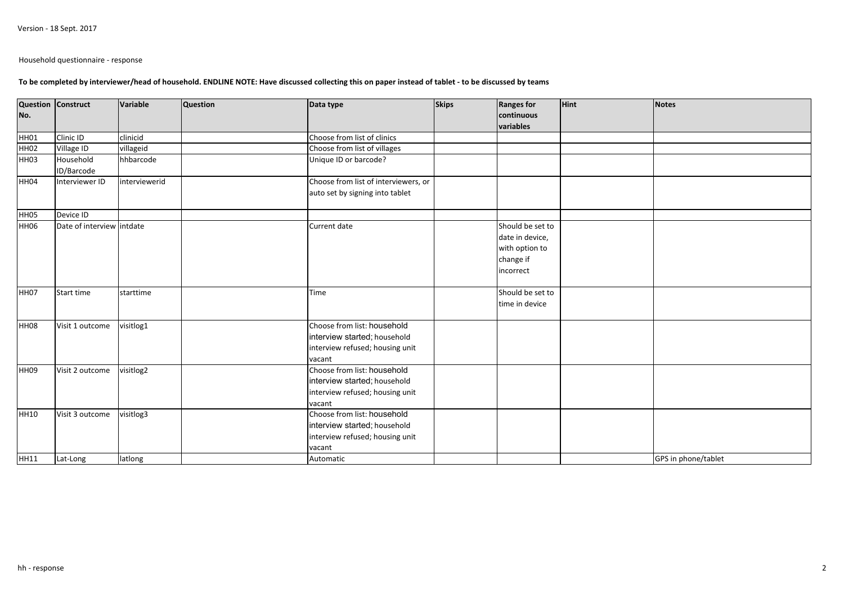Household questionnaire - response

### **To be completed by interviewer/head of household. ENDLINE NOTE: Have discussed collecting this on paper instead of tablet - to be discussed by teams**

|                  | Question Construct        | Variable      | <b>Question</b> | Data type                            | <b>Skips</b> | <b>Ranges for</b>       | Hint | Notes               |
|------------------|---------------------------|---------------|-----------------|--------------------------------------|--------------|-------------------------|------|---------------------|
| No.              |                           |               |                 |                                      |              | continuous<br>variables |      |                     |
| HH01             | Clinic ID                 | clinicid      |                 | Choose from list of clinics          |              |                         |      |                     |
| HH <sub>02</sub> | Village ID                | villageid     |                 | Choose from list of villages         |              |                         |      |                     |
| HH <sub>03</sub> | Household                 | hhbarcode     |                 | Unique ID or barcode?                |              |                         |      |                     |
|                  | ID/Barcode                |               |                 |                                      |              |                         |      |                     |
| HH04             | Interviewer ID            | interviewerid |                 | Choose from list of interviewers, or |              |                         |      |                     |
|                  |                           |               |                 | auto set by signing into tablet      |              |                         |      |                     |
| HH05             | Device ID                 |               |                 |                                      |              |                         |      |                     |
| <b>HH06</b>      | Date of interview intdate |               |                 | Current date                         |              | Should be set to        |      |                     |
|                  |                           |               |                 |                                      |              | date in device,         |      |                     |
|                  |                           |               |                 |                                      |              | with option to          |      |                     |
|                  |                           |               |                 |                                      |              | change if               |      |                     |
|                  |                           |               |                 |                                      |              | incorrect               |      |                     |
| HH07             | Start time                | starttime     |                 | Time                                 |              | Should be set to        |      |                     |
|                  |                           |               |                 |                                      |              | time in device          |      |                     |
| HH <sub>08</sub> | Visit 1 outcome           | visitlog1     |                 | Choose from list: household          |              |                         |      |                     |
|                  |                           |               |                 | interview started; household         |              |                         |      |                     |
|                  |                           |               |                 | interview refused; housing unit      |              |                         |      |                     |
|                  |                           |               |                 | vacant                               |              |                         |      |                     |
| HH <sub>09</sub> | Visit 2 outcome           | visitlog2     |                 | Choose from list: household          |              |                         |      |                     |
|                  |                           |               |                 | interview started; household         |              |                         |      |                     |
|                  |                           |               |                 | interview refused; housing unit      |              |                         |      |                     |
|                  |                           |               |                 | vacant                               |              |                         |      |                     |
| HH10             | Visit 3 outcome           | visitlog3     |                 | Choose from list: household          |              |                         |      |                     |
|                  |                           |               |                 | interview started; household         |              |                         |      |                     |
|                  |                           |               |                 | interview refused; housing unit      |              |                         |      |                     |
|                  |                           |               |                 | vacant                               |              |                         |      |                     |
| HH11             | Lat-Long                  | latlong       |                 | Automatic                            |              |                         |      | GPS in phone/tablet |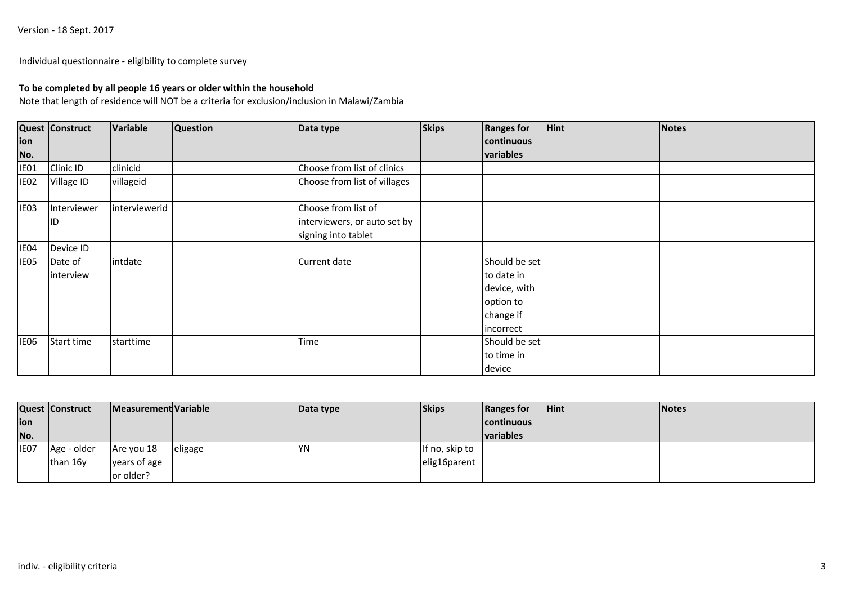Individual questionnaire - eligibility to complete survey

## **To be completed by all people 16 years or older within the household**

Note that length of residence will NOT be a criteria for exclusion/inclusion in Malawi/Zambia

|                  | Quest Construct   | Variable      | <b>Question</b> | Data type                    | <b>Skips</b> | <b>Ranges for</b> | <b>Hint</b> | Notes |
|------------------|-------------------|---------------|-----------------|------------------------------|--------------|-------------------|-------------|-------|
| ion              |                   |               |                 |                              |              | continuous        |             |       |
| No.              |                   |               |                 |                              |              | variables         |             |       |
| IE01             | Clinic ID         | clinicid      |                 | Choose from list of clinics  |              |                   |             |       |
| IEO <sub>2</sub> | <b>Village ID</b> | villageid     |                 | Choose from list of villages |              |                   |             |       |
| IE03             | Interviewer       | interviewerid |                 | Choose from list of          |              |                   |             |       |
|                  | ID                |               |                 | interviewers, or auto set by |              |                   |             |       |
|                  |                   |               |                 | signing into tablet          |              |                   |             |       |
| IE04             | Device ID         |               |                 |                              |              |                   |             |       |
| IE05             | Date of           | intdate       |                 | Current date                 |              | Should be set     |             |       |
|                  | interview         |               |                 |                              |              | to date in        |             |       |
|                  |                   |               |                 |                              |              | device, with      |             |       |
|                  |                   |               |                 |                              |              | option to         |             |       |
|                  |                   |               |                 |                              |              | change if         |             |       |
|                  |                   |               |                 |                              |              | incorrect         |             |       |
| <b>IE06</b>      | Start time        | starttime     |                 | Time                         |              | Should be set     |             |       |
|                  |                   |               |                 |                              |              | to time in        |             |       |
|                  |                   |               |                 |                              |              | device            |             |       |

|      | <b>Quest Construct</b> | Measurement Variable |         | Data type  | <b>Skips</b>   | Ranges for         | <b>Hint</b> | <b>Notes</b> |
|------|------------------------|----------------------|---------|------------|----------------|--------------------|-------------|--------------|
| ion  |                        |                      |         |            |                | <b>Icontinuous</b> |             |              |
| No.  |                        |                      |         |            |                | <b>Ivariables</b>  |             |              |
| IE07 | Age - older            | Are you 18           | eligage | <b>IYN</b> | If no, skip to |                    |             |              |
|      | than 16y               | years of age         |         |            | elig16parent   |                    |             |              |
|      |                        | or older?            |         |            |                |                    |             |              |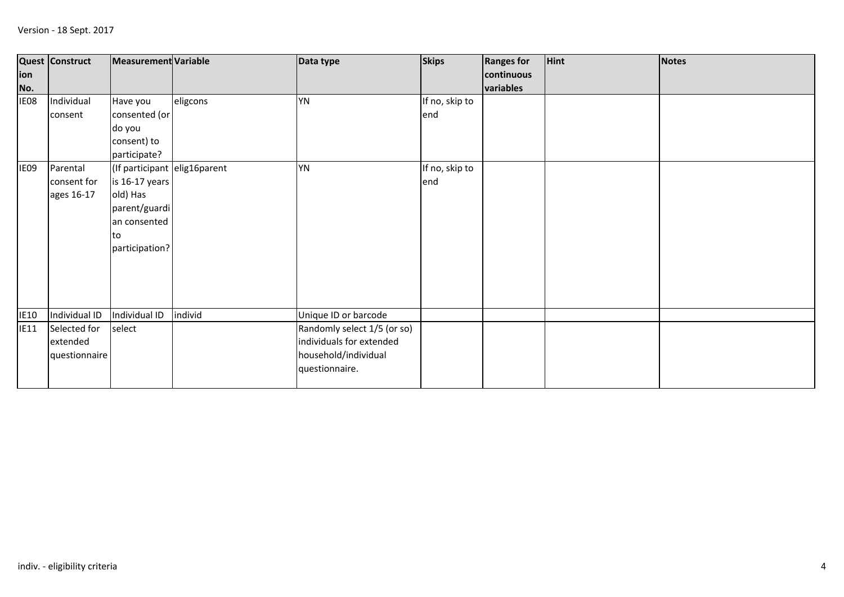| ion<br>No.  | <b>Quest Construct</b>                    | Measurement Variable                                                                                                 |          | Data type                                                                                         | <b>Skips</b>          | <b>Ranges for</b><br>continuous<br>variables | <b>Hint</b> | Notes |
|-------------|-------------------------------------------|----------------------------------------------------------------------------------------------------------------------|----------|---------------------------------------------------------------------------------------------------|-----------------------|----------------------------------------------|-------------|-------|
| IE08        | Individual<br>consent                     | Have you<br>consented (or<br>do you<br>consent) to<br>participate?                                                   | eligcons | YN                                                                                                | If no, skip to<br>end |                                              |             |       |
| IE09        | Parental<br>consent for<br>ages 16-17     | (If participant elig16parent<br>is 16-17 years<br>old) Has<br>parent/guardi<br>an consented<br>lto<br>participation? |          | YN                                                                                                | If no, skip to<br>end |                                              |             |       |
| <b>IE10</b> | Individual ID                             | Individual ID                                                                                                        | individ  | Unique ID or barcode                                                                              |                       |                                              |             |       |
| <b>IE11</b> | Selected for<br>extended<br>questionnaire | select                                                                                                               |          | Randomly select 1/5 (or so)<br>individuals for extended<br>household/individual<br>questionnaire. |                       |                                              |             |       |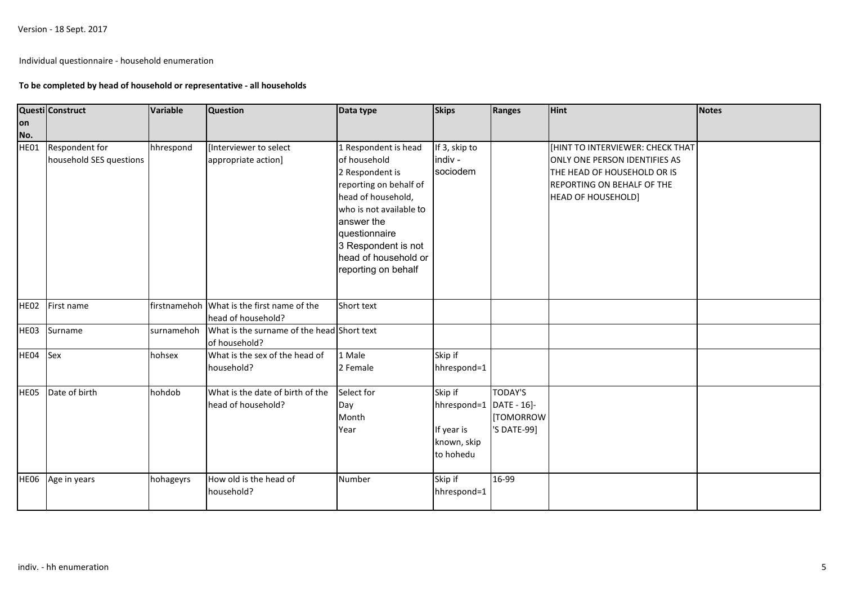Version - 18 Sept. 2017

Individual questionnaire - household enumeration

## **To be completed by head of household or representative - all households**

|                  | Questi Construct                          | Variable   | <b>Question</b>                                                  | Data type                                                                                                                                                                                                                               | <b>Skips</b>                                                                 | Ranges                                           | <b>Hint</b>                                                                                                                                                | <b>Notes</b> |
|------------------|-------------------------------------------|------------|------------------------------------------------------------------|-----------------------------------------------------------------------------------------------------------------------------------------------------------------------------------------------------------------------------------------|------------------------------------------------------------------------------|--------------------------------------------------|------------------------------------------------------------------------------------------------------------------------------------------------------------|--------------|
| lon              |                                           |            |                                                                  |                                                                                                                                                                                                                                         |                                                                              |                                                  |                                                                                                                                                            |              |
| No.<br>HE01      | Respondent for<br>household SES questions | hhrespond  | [Interviewer to select<br>appropriate action]                    | 1 Respondent is head<br>of household<br>2 Respondent is<br>reporting on behalf of<br>head of household,<br>who is not available to<br>answer the<br>questionnaire<br>3 Respondent is not<br>head of household or<br>reporting on behalf | If 3, skip to<br>indiv -<br>sociodem                                         |                                                  | HINT TO INTERVIEWER: CHECK THAT<br>ONLY ONE PERSON IDENTIFIES AS<br>THE HEAD OF HOUSEHOLD OR IS<br>REPORTING ON BEHALF OF THE<br><b>HEAD OF HOUSEHOLD]</b> |              |
| HE <sub>02</sub> | First name                                |            | firstnamehoh What is the first name of the<br>head of household? | Short text                                                                                                                                                                                                                              |                                                                              |                                                  |                                                                                                                                                            |              |
| <b>HE03</b>      | Surname                                   | surnamehoh | What is the surname of the head Short text<br>of household?      |                                                                                                                                                                                                                                         |                                                                              |                                                  |                                                                                                                                                            |              |
| HE04             | Sex                                       | hohsex     | What is the sex of the head of<br>household?                     | 1 Male<br>2 Female                                                                                                                                                                                                                      | Skip if<br>hhrespond=1                                                       |                                                  |                                                                                                                                                            |              |
| HE05             | Date of birth                             | hohdob     | What is the date of birth of the<br>head of household?           | Select for<br>Day<br>Month<br>Year                                                                                                                                                                                                      | Skip if<br>hhrespond=1 DATE - 16]-<br>If year is<br>known, skip<br>to hohedu | <b>TODAY'S</b><br><b>TOMORROW</b><br>'S DATE-99] |                                                                                                                                                            |              |
| <b>HE06</b>      | Age in years                              | hohageyrs  | How old is the head of<br>household?                             | Number                                                                                                                                                                                                                                  | Skip if<br>hhrespond=1                                                       | 16-99                                            |                                                                                                                                                            |              |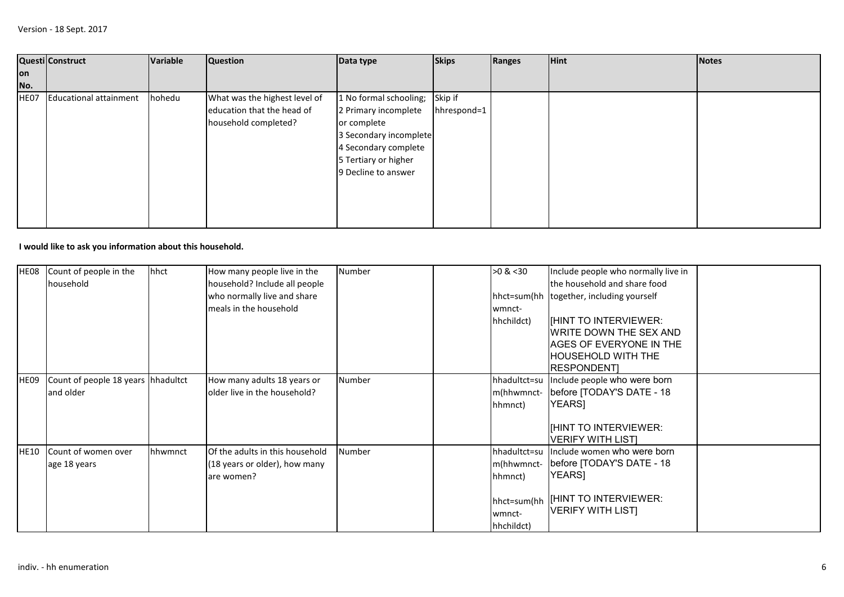|      | Questi Construct              | Variable | <b>Question</b>               | Data type              | <b>Skips</b> | Ranges | <b>Hint</b> | Notes |
|------|-------------------------------|----------|-------------------------------|------------------------|--------------|--------|-------------|-------|
| on   |                               |          |                               |                        |              |        |             |       |
| No.  |                               |          |                               |                        |              |        |             |       |
| HE07 | <b>Educational attainment</b> | hohedu   | What was the highest level of | 1 No formal schooling; | Skip if      |        |             |       |
|      |                               |          | education that the head of    | 2 Primary incomplete   | hhrespond=1  |        |             |       |
|      |                               |          | household completed?          | or complete            |              |        |             |       |
|      |                               |          |                               | 3 Secondary incomplete |              |        |             |       |
|      |                               |          |                               | 4 Secondary complete   |              |        |             |       |
|      |                               |          |                               | 5 Tertiary or higher   |              |        |             |       |
|      |                               |          |                               | 9 Decline to answer    |              |        |             |       |
|      |                               |          |                               |                        |              |        |             |       |
|      |                               |          |                               |                        |              |        |             |       |
|      |                               |          |                               |                        |              |        |             |       |
|      |                               |          |                               |                        |              |        |             |       |

## **I would like to ask you information about this household.**

| HE08        | Count of people in the<br>household | hhct    | How many people live in the<br>household? Include all people | Number        | $>0$ & $30$                         | Include people who normally live in<br>the household and share food |  |
|-------------|-------------------------------------|---------|--------------------------------------------------------------|---------------|-------------------------------------|---------------------------------------------------------------------|--|
|             |                                     |         | who normally live and share                                  |               |                                     | hhct=sum(hh together, including yourself                            |  |
|             |                                     |         | meals in the household                                       |               | wmnct-<br>hhchildct)                | <b>IHINT TO INTERVIEWER:</b>                                        |  |
|             |                                     |         |                                                              |               |                                     | WRITE DOWN THE SEX AND                                              |  |
|             |                                     |         |                                                              |               |                                     | AGES OF EVERYONE IN THE                                             |  |
|             |                                     |         |                                                              |               |                                     | <b>HOUSEHOLD WITH THE</b><br><b>RESPONDENT</b>                      |  |
| <b>HE09</b> | Count of people 18 years hhadultct  |         | How many adults 18 years or                                  | Number        | hhadultct=su                        | Include people who were born                                        |  |
|             | and older                           |         | older live in the household?                                 |               | m(hhwmnct-<br>hhmnct)               | before [TODAY'S DATE - 18<br><b>YEARS</b>                           |  |
|             |                                     |         |                                                              |               |                                     | IHINT TO INTERVIEWER:<br><b>VERIFY WITH LISTI</b>                   |  |
| <b>HE10</b> | Count of women over                 | hhwmnct | Of the adults in this household                              | <b>Number</b> | hhadultct=su                        | Include women who were born                                         |  |
|             | age 18 years                        |         | (18 years or older), how many<br>are women?                  |               | m(hhwmnct-<br>hhmnct)               | before [TODAY'S DATE - 18<br><b>YEARS</b>                           |  |
|             |                                     |         |                                                              |               | hhct=sum(hh<br>wmnct-<br>hhchildct) | <b>IFINT TO INTERVIEWER:</b><br><b>VERIFY WITH LIST</b>             |  |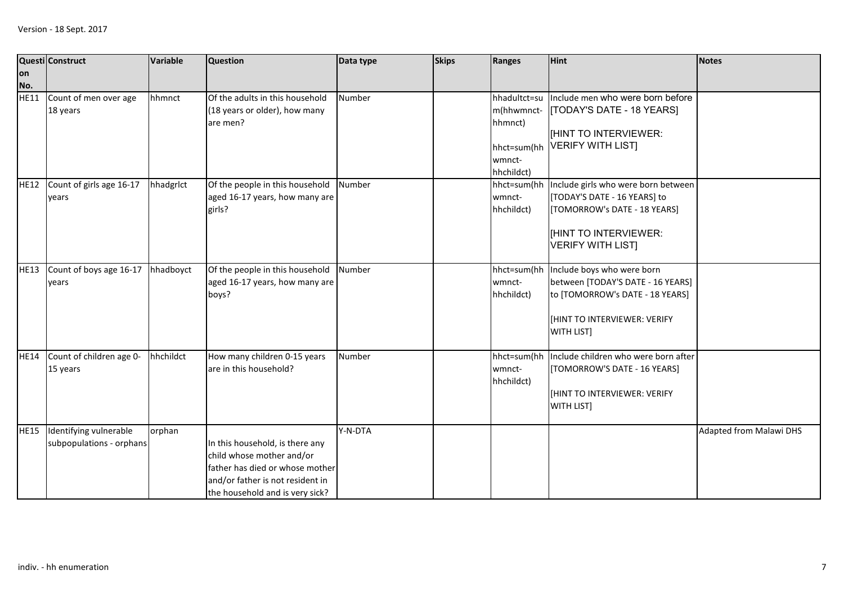|             | Questi Construct                                   | Variable  | <b>Question</b>                                                                                                                                                        | Data type | <b>Skips</b> | Ranges                                                                       | <b>Hint</b>                                                                                                                                                     | <b>Notes</b>                   |
|-------------|----------------------------------------------------|-----------|------------------------------------------------------------------------------------------------------------------------------------------------------------------------|-----------|--------------|------------------------------------------------------------------------------|-----------------------------------------------------------------------------------------------------------------------------------------------------------------|--------------------------------|
| lon<br>No.  |                                                    |           |                                                                                                                                                                        |           |              |                                                                              |                                                                                                                                                                 |                                |
| <b>HE11</b> | Count of men over age<br>18 years                  | hhmnct    | Of the adults in this household<br>(18 years or older), how many<br>are men?                                                                                           | Number    |              | hhadultct=su<br>m(hhwmnct-<br>hhmnct)<br>hhct=sum(hh<br>wmnct-<br>hhchildct) | Include men who were born before<br><b>TODAY'S DATE - 18 YEARS]</b><br>[HINT TO INTERVIEWER:<br><b>VERIFY WITH LIST</b>                                         |                                |
| <b>HE12</b> | Count of girls age 16-17<br>vears                  | hhadgrlct | Of the people in this household<br>aged 16-17 years, how many are<br>girls?                                                                                            | Number    |              | hhct=sum(hh<br>wmnct-<br>hhchildct)                                          | Include girls who were born between<br>[TODAY'S DATE - 16 YEARS] to<br>[TOMORROW's DATE - 18 YEARS]<br><b>IHINT TO INTERVIEWER:</b><br><b>VERIFY WITH LISTI</b> |                                |
| <b>HE13</b> | Count of boys age 16-17<br>vears                   | hhadboyct | Of the people in this household Number<br>aged 16-17 years, how many are<br>boys?                                                                                      |           |              | wmnct-<br>hhchildct)                                                         | hhct=sum(hh Include boys who were born<br>between [TODAY'S DATE - 16 YEARS]<br>to [TOMORROW's DATE - 18 YEARS]<br>[HINT TO INTERVIEWER: VERIFY<br>WITH LIST]    |                                |
| <b>HE14</b> | Count of children age 0-<br>15 years               | hhchildct | How many children 0-15 years<br>are in this household?                                                                                                                 | Number    |              | hhct=sum(hh<br>wmnct-<br>hhchildct)                                          | Include children who were born after<br>[TOMORROW'S DATE - 16 YEARS]<br>[HINT TO INTERVIEWER: VERIFY<br>WITH LIST]                                              |                                |
| <b>HE15</b> | Identifying vulnerable<br>subpopulations - orphans | orphan    | In this household, is there any<br>child whose mother and/or<br>father has died or whose mother<br>and/or father is not resident in<br>the household and is very sick? | Y-N-DTA   |              |                                                                              |                                                                                                                                                                 | <b>Adapted from Malawi DHS</b> |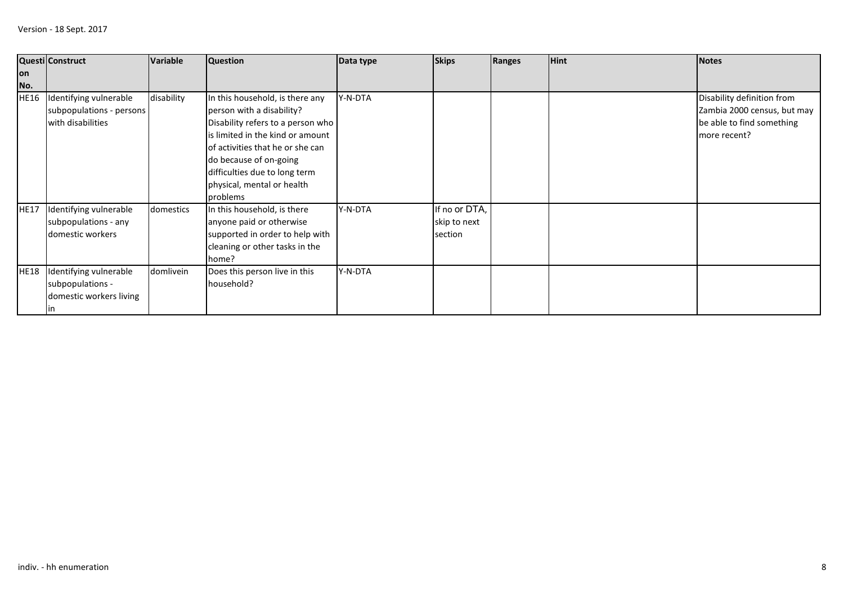| lon         | Questi Construct         | <b>Variable</b> | <b>Question</b>                   | Data type | <b>Skips</b>  | Ranges | <b>Hint</b> | <b>Notes</b>                |
|-------------|--------------------------|-----------------|-----------------------------------|-----------|---------------|--------|-------------|-----------------------------|
| No.         |                          |                 |                                   |           |               |        |             |                             |
| <b>HE16</b> | Identifying vulnerable   | disability      | In this household, is there any   | Y-N-DTA   |               |        |             | Disability definition from  |
|             | subpopulations - persons |                 | person with a disability?         |           |               |        |             | Zambia 2000 census, but may |
|             | with disabilities        |                 | Disability refers to a person who |           |               |        |             | be able to find something   |
|             |                          |                 | is limited in the kind or amount  |           |               |        |             | more recent?                |
|             |                          |                 | of activities that he or she can  |           |               |        |             |                             |
|             |                          |                 | do because of on-going            |           |               |        |             |                             |
|             |                          |                 | difficulties due to long term     |           |               |        |             |                             |
|             |                          |                 | physical, mental or health        |           |               |        |             |                             |
|             |                          |                 | problems                          |           |               |        |             |                             |
| <b>HE17</b> | Identifying vulnerable   | domestics       | In this household, is there       | Y-N-DTA   | If no or DTA, |        |             |                             |
|             | subpopulations - any     |                 | anyone paid or otherwise          |           | skip to next  |        |             |                             |
|             | domestic workers         |                 | supported in order to help with   |           | section       |        |             |                             |
|             |                          |                 | cleaning or other tasks in the    |           |               |        |             |                             |
|             |                          |                 | home?                             |           |               |        |             |                             |
| <b>HE18</b> | Identifying vulnerable   | domlivein       | Does this person live in this     | Y-N-DTA   |               |        |             |                             |
|             | subpopulations -         |                 | household?                        |           |               |        |             |                             |
|             | domestic workers living  |                 |                                   |           |               |        |             |                             |
|             | ın                       |                 |                                   |           |               |        |             |                             |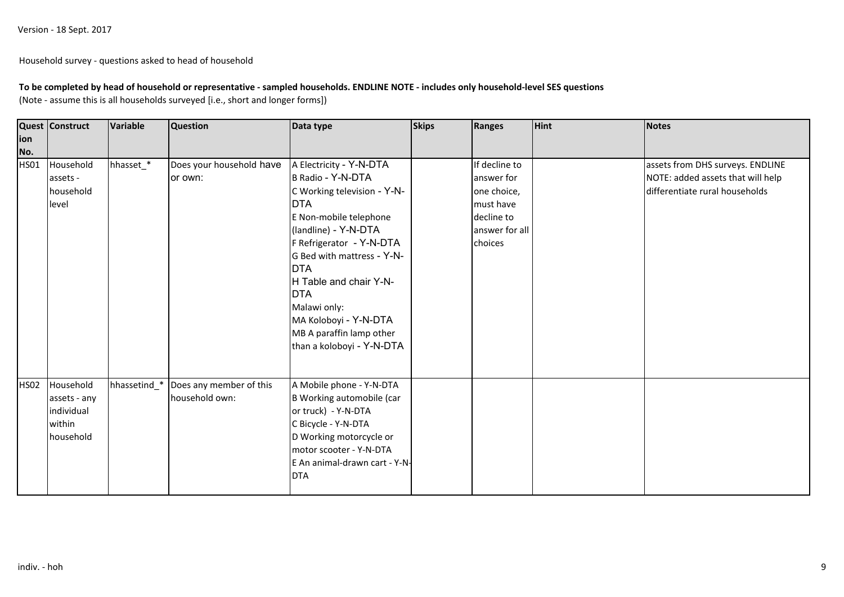Household survey - questions asked to head of household

# **To be completed by head of household or representative - sampled households. ENDLINE NOTE - includes only household-level SES questions**

(Note - assume this is all households surveyed [i.e., short and longer forms])

| ion         | <b>Quest Construct</b> | Variable     | <b>Question</b>          | Data type                     | <b>Skips</b> | Ranges         | <b>Hint</b> | Notes                             |
|-------------|------------------------|--------------|--------------------------|-------------------------------|--------------|----------------|-------------|-----------------------------------|
| No.         |                        |              |                          |                               |              |                |             |                                   |
| <b>HS01</b> | Household              | hhasset_*    | Does your household have | A Electricity - Y-N-DTA       |              | If decline to  |             | assets from DHS surveys. ENDLINE  |
|             | assets -               |              | or own:                  | B Radio - Y-N-DTA             |              | answer for     |             | NOTE: added assets that will help |
|             | household              |              |                          | C Working television - Y-N-   |              | one choice,    |             | differentiate rural households    |
|             | level                  |              |                          | <b>DTA</b>                    |              | must have      |             |                                   |
|             |                        |              |                          | E Non-mobile telephone        |              | decline to     |             |                                   |
|             |                        |              |                          | (landline) - Y-N-DTA          |              | answer for all |             |                                   |
|             |                        |              |                          | F Refrigerator - Y-N-DTA      |              | choices        |             |                                   |
|             |                        |              |                          | G Bed with mattress - Y-N-    |              |                |             |                                   |
|             |                        |              |                          | <b>DTA</b>                    |              |                |             |                                   |
|             |                        |              |                          | H Table and chair Y-N-        |              |                |             |                                   |
|             |                        |              |                          | <b>DTA</b>                    |              |                |             |                                   |
|             |                        |              |                          | Malawi only:                  |              |                |             |                                   |
|             |                        |              |                          | MA Koloboyi - Y-N-DTA         |              |                |             |                                   |
|             |                        |              |                          | MB A paraffin lamp other      |              |                |             |                                   |
|             |                        |              |                          | than a koloboyi - Y-N-DTA     |              |                |             |                                   |
|             |                        |              |                          |                               |              |                |             |                                   |
|             |                        |              |                          |                               |              |                |             |                                   |
| <b>HS02</b> | Household              | hhassetind_* | Does any member of this  | A Mobile phone - Y-N-DTA      |              |                |             |                                   |
|             | assets - any           |              | household own:           | B Working automobile (car     |              |                |             |                                   |
|             | individual             |              |                          | or truck) - Y-N-DTA           |              |                |             |                                   |
|             | within                 |              |                          | C Bicycle - Y-N-DTA           |              |                |             |                                   |
|             | household              |              |                          | D Working motorcycle or       |              |                |             |                                   |
|             |                        |              |                          | motor scooter - Y-N-DTA       |              |                |             |                                   |
|             |                        |              |                          | E An animal-drawn cart - Y-N- |              |                |             |                                   |
|             |                        |              |                          | <b>DTA</b>                    |              |                |             |                                   |
|             |                        |              |                          |                               |              |                |             |                                   |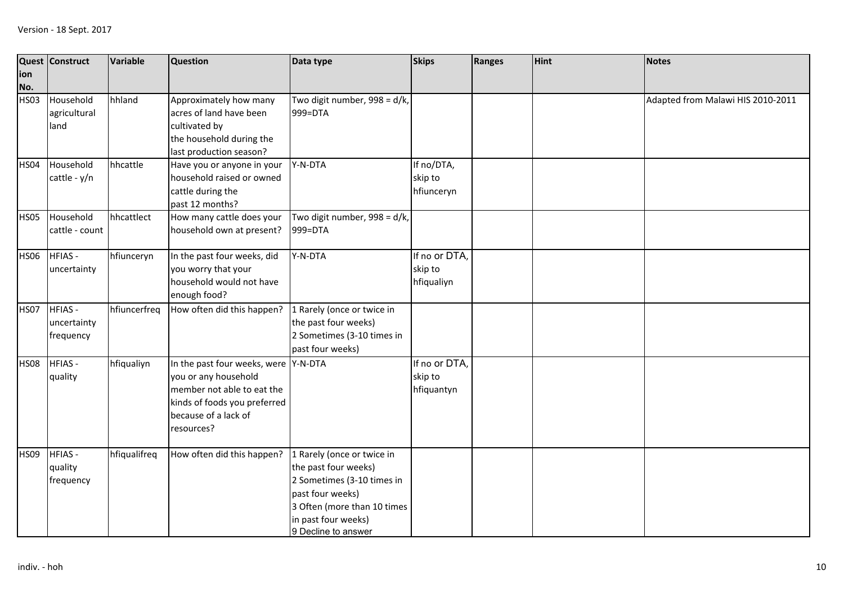| ion<br>No.  | Quest Construct                           | <b>Variable</b> | <b>Question</b>                                                                                                                                                  | Data type                                                                                                                                                                         | <b>Skips</b>                           | Ranges | <b>Hint</b> | <b>Notes</b>                      |
|-------------|-------------------------------------------|-----------------|------------------------------------------------------------------------------------------------------------------------------------------------------------------|-----------------------------------------------------------------------------------------------------------------------------------------------------------------------------------|----------------------------------------|--------|-------------|-----------------------------------|
| <b>HS03</b> | Household<br>agricultural<br>land         | hhland          | Approximately how many<br>acres of land have been<br>cultivated by<br>the household during the<br>last production season?                                        | Two digit number, 998 = d/k,<br>999=DTA                                                                                                                                           |                                        |        |             | Adapted from Malawi HIS 2010-2011 |
| <b>HS04</b> | Household<br>cattle - y/n                 | hhcattle        | Have you or anyone in your<br>household raised or owned<br>cattle during the<br>past 12 months?                                                                  | Y-N-DTA                                                                                                                                                                           | If no/DTA,<br>skip to<br>hfiunceryn    |        |             |                                   |
| <b>HS05</b> | Household<br>cattle - count               | hhcattlect      | How many cattle does your<br>household own at present?                                                                                                           | Two digit number, 998 = d/k,<br>999=DTA                                                                                                                                           |                                        |        |             |                                   |
| <b>HS06</b> | <b>HFIAS-</b><br>uncertainty              | hfiunceryn      | In the past four weeks, did<br>you worry that your<br>household would not have<br>enough food?                                                                   | Y-N-DTA                                                                                                                                                                           | If no or DTA,<br>skip to<br>hfiqualiyn |        |             |                                   |
| <b>HS07</b> | <b>HFIAS-</b><br>uncertainty<br>frequency | hfiuncerfreq    | How often did this happen?                                                                                                                                       | 1 Rarely (once or twice in<br>the past four weeks)<br>2 Sometimes (3-10 times in<br>past four weeks)                                                                              |                                        |        |             |                                   |
| <b>HS08</b> | <b>HFIAS-</b><br>quality                  | hfiqualiyn      | In the past four weeks, were Y-N-DTA<br>you or any household<br>member not able to eat the<br>kinds of foods you preferred<br>because of a lack of<br>resources? |                                                                                                                                                                                   | If no or DTA,<br>skip to<br>hfiquantyn |        |             |                                   |
| <b>HS09</b> | <b>HFIAS-</b><br>quality<br>frequency     | hfiqualifreq    | How often did this happen?                                                                                                                                       | 1 Rarely (once or twice in<br>the past four weeks)<br>2 Sometimes (3-10 times in<br>past four weeks)<br>3 Often (more than 10 times<br>in past four weeks)<br>9 Decline to answer |                                        |        |             |                                   |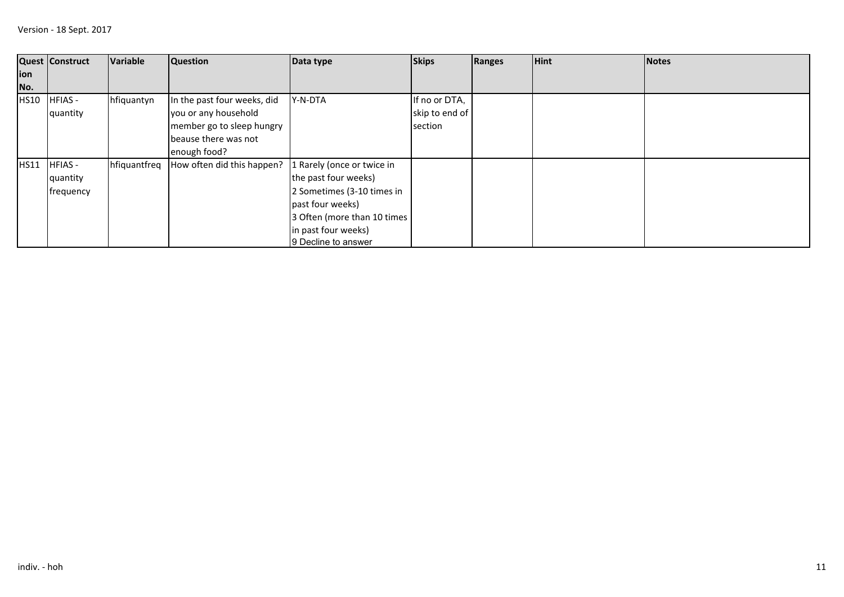|             | <b>Quest Construct</b> | Variable     | <b>Question</b>             | Data type                   | <b>Skips</b>   | Ranges | <b>Hint</b> | <b>Notes</b> |
|-------------|------------------------|--------------|-----------------------------|-----------------------------|----------------|--------|-------------|--------------|
| ion         |                        |              |                             |                             |                |        |             |              |
| No.         |                        |              |                             |                             |                |        |             |              |
| <b>HS10</b> | <b>HFIAS-</b>          | hfiquantyn   | In the past four weeks, did | Y-N-DTA                     | If no or DTA,  |        |             |              |
|             | quantity               |              | you or any household        |                             | skip to end of |        |             |              |
|             |                        |              | member go to sleep hungry   |                             | section        |        |             |              |
|             |                        |              | beause there was not        |                             |                |        |             |              |
|             |                        |              | enough food?                |                             |                |        |             |              |
| HS11        | <b>HFIAS-</b>          | hfiquantfreq | How often did this happen?  | 1 Rarely (once or twice in  |                |        |             |              |
|             | quantity               |              |                             | the past four weeks)        |                |        |             |              |
|             | frequency              |              |                             | 2 Sometimes (3-10 times in  |                |        |             |              |
|             |                        |              |                             | past four weeks)            |                |        |             |              |
|             |                        |              |                             | 3 Often (more than 10 times |                |        |             |              |
|             |                        |              |                             | in past four weeks)         |                |        |             |              |
|             |                        |              |                             | 9 Decline to answer         |                |        |             |              |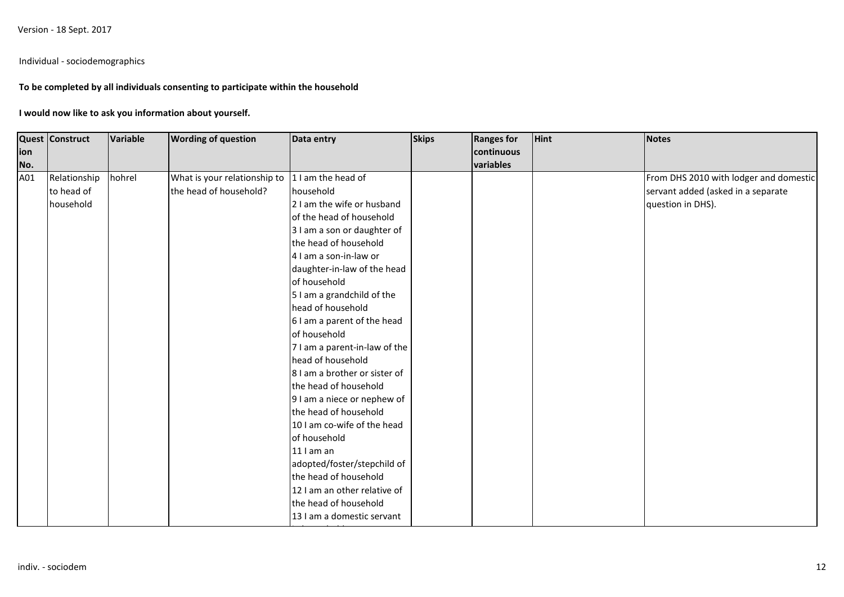Version - 18 Sept. 2017

## Individual - sociodemographics

## **To be completed by all individuals consenting to participate within the household**

### **I would now like to ask you information about yourself.**

|            | <b>Quest Construct</b> | Variable | <b>Wording of question</b>   | Data entry                    | <b>Skips</b> | <b>Ranges for</b>       | <b>Hint</b> | <b>Notes</b>                           |
|------------|------------------------|----------|------------------------------|-------------------------------|--------------|-------------------------|-------------|----------------------------------------|
| ion<br>No. |                        |          |                              |                               |              | continuous<br>variables |             |                                        |
| A01        | Relationship           | hohrel   | What is your relationship to | 1 I am the head of            |              |                         |             | From DHS 2010 with lodger and domestic |
|            | to head of             |          | the head of household?       | household                     |              |                         |             | servant added (asked in a separate     |
|            | household              |          |                              | 2 I am the wife or husband    |              |                         |             | question in DHS).                      |
|            |                        |          |                              | of the head of household      |              |                         |             |                                        |
|            |                        |          |                              | 3 I am a son or daughter of   |              |                         |             |                                        |
|            |                        |          |                              | the head of household         |              |                         |             |                                        |
|            |                        |          |                              | 4 I am a son-in-law or        |              |                         |             |                                        |
|            |                        |          |                              | daughter-in-law of the head   |              |                         |             |                                        |
|            |                        |          |                              | of household                  |              |                         |             |                                        |
|            |                        |          |                              | 5 I am a grandchild of the    |              |                         |             |                                        |
|            |                        |          |                              | head of household             |              |                         |             |                                        |
|            |                        |          |                              | 6 I am a parent of the head   |              |                         |             |                                        |
|            |                        |          |                              | of household                  |              |                         |             |                                        |
|            |                        |          |                              | 7 I am a parent-in-law of the |              |                         |             |                                        |
|            |                        |          |                              | head of household             |              |                         |             |                                        |
|            |                        |          |                              | 8 I am a brother or sister of |              |                         |             |                                        |
|            |                        |          |                              | the head of household         |              |                         |             |                                        |
|            |                        |          |                              | 9 I am a niece or nephew of   |              |                         |             |                                        |
|            |                        |          |                              | the head of household         |              |                         |             |                                        |
|            |                        |          |                              | 10 I am co-wife of the head   |              |                         |             |                                        |
|            |                        |          |                              | of household                  |              |                         |             |                                        |
|            |                        |          |                              | $11$ I am an                  |              |                         |             |                                        |
|            |                        |          |                              | adopted/foster/stepchild of   |              |                         |             |                                        |
|            |                        |          |                              | the head of household         |              |                         |             |                                        |
|            |                        |          |                              | 12 I am an other relative of  |              |                         |             |                                        |
|            |                        |          |                              | the head of household         |              |                         |             |                                        |
|            |                        |          |                              | 13 I am a domestic servant    |              |                         |             |                                        |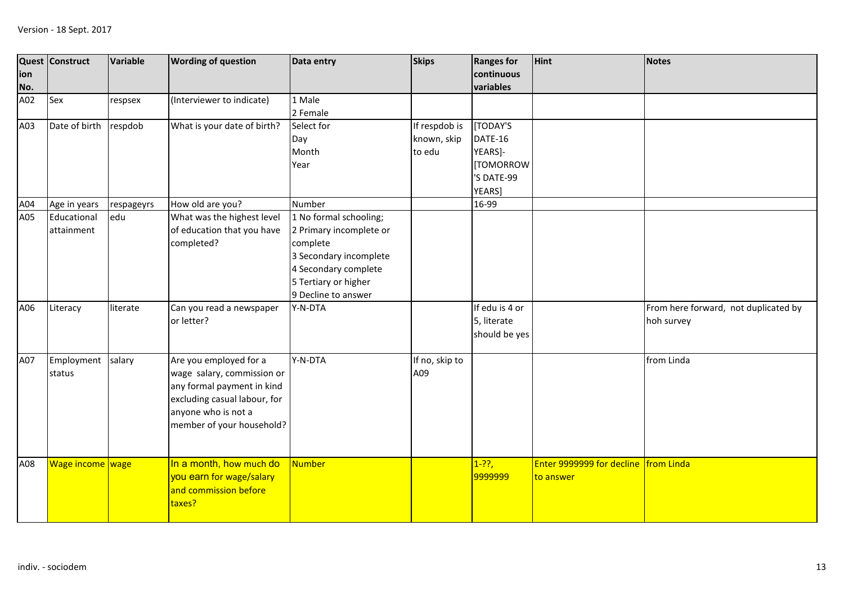| ion<br>No. | <b>Quest Construct</b>    | Variable   | <b>Wording of question</b>                                                                                                                                             | Data entry                                                                                                                                                     | <b>Skips</b>                           | <b>Ranges for</b><br>continuous<br>variables                        | <b>Hint</b>                                       | <b>Notes</b>                                       |
|------------|---------------------------|------------|------------------------------------------------------------------------------------------------------------------------------------------------------------------------|----------------------------------------------------------------------------------------------------------------------------------------------------------------|----------------------------------------|---------------------------------------------------------------------|---------------------------------------------------|----------------------------------------------------|
| A02        | Sex                       | respsex    | (Interviewer to indicate)                                                                                                                                              | 1 Male<br>2 Female                                                                                                                                             |                                        |                                                                     |                                                   |                                                    |
| A03        | Date of birth             | respdob    | What is your date of birth?                                                                                                                                            | Select for<br>Day<br>Month<br>Year                                                                                                                             | If respdob is<br>known, skip<br>to edu | [TODAY'S<br>DATE-16<br>YEARS]-<br>[TOMORROW<br>'S DATE-99<br>YEARS] |                                                   |                                                    |
| A04        | Age in years              | respageyrs | How old are you?                                                                                                                                                       | Number                                                                                                                                                         |                                        | 16-99                                                               |                                                   |                                                    |
| A05        | Educational<br>attainment | edu        | What was the highest level<br>of education that you have<br>completed?                                                                                                 | 1 No formal schooling;<br>2 Primary incomplete or<br>complete<br>3 Secondary incomplete<br>4 Secondary complete<br>5 Tertiary or higher<br>9 Decline to answer |                                        |                                                                     |                                                   |                                                    |
| A06        | Literacy                  | literate   | Can you read a newspaper<br>or letter?                                                                                                                                 | Y-N-DTA                                                                                                                                                        |                                        | If edu is 4 or<br>5, literate<br>should be yes                      |                                                   | From here forward, not duplicated by<br>hoh survey |
| A07        | Employment<br>status      | salary     | Are you employed for a<br>wage salary, commission or<br>any formal payment in kind<br>excluding casual labour, for<br>anyone who is not a<br>member of your household? | Y-N-DTA                                                                                                                                                        | If no, skip to<br>A09                  |                                                                     |                                                   | from Linda                                         |
| A08        | Wage income wage          |            | In a month, how much do<br>you earn for wage/salary<br>and commission before<br>taxes?                                                                                 | <b>Number</b>                                                                                                                                                  |                                        | $1 - ??$ ,<br>9999999                                               | Enter 9999999 for decline from Linda<br>to answer |                                                    |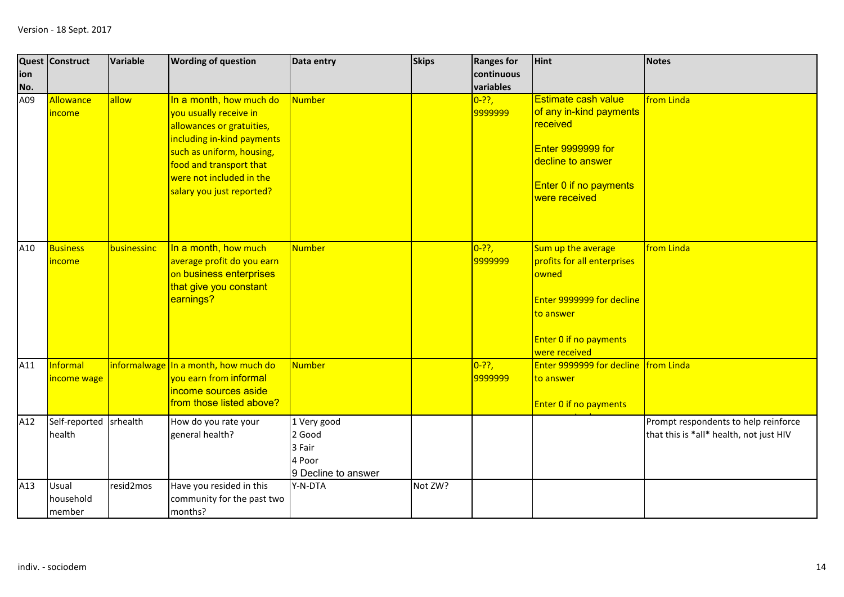| ion<br>No. | Quest Construct              | Variable     | <b>Wording of question</b>                                                                                                                                                                                                    | Data entry                                                       | <b>Skips</b> | <b>Ranges for</b><br>continuous<br>variables | <b>Hint</b>                                                                                                                                            | <b>Notes</b>                                                                    |
|------------|------------------------------|--------------|-------------------------------------------------------------------------------------------------------------------------------------------------------------------------------------------------------------------------------|------------------------------------------------------------------|--------------|----------------------------------------------|--------------------------------------------------------------------------------------------------------------------------------------------------------|---------------------------------------------------------------------------------|
| A09        | Allowance<br><i>income</i>   | allow        | In a month, how much do<br>you usually receive in<br>allowances or gratuities,<br>including in-kind payments<br>such as uniform, housing,<br>food and transport that<br>were not included in the<br>salary you just reported? | Number                                                           |              | $0 - ??$ ,<br>9999999                        | Estimate cash value<br>of any in-kind payments<br>received<br><b>Enter 9999999 for</b><br>decline to answer<br>Enter 0 if no payments<br>were received | from Linda                                                                      |
| A10        | <b>Business</b><br>income    | businessinc  | In a month, how much<br>average profit do you earn<br>on business enterprises<br>that give you constant<br>earnings?                                                                                                          | <b>Number</b>                                                    |              | $0 - ??$ ,<br>9999999                        | Sum up the average<br>profits for all enterprises<br>owned<br>Enter 9999999 for decline<br>to answer<br><b>Enter 0 if no payments</b><br>were received | from Linda                                                                      |
| A11        | Informal<br>income wage      | informalwage | In a month, how much do<br>vou earn from informal<br>income sources aside<br>from those listed above?                                                                                                                         | <b>Number</b>                                                    |              | $0 - ??$ ,<br>9999999                        | Enter 9999999 for decline from Linda<br>to answer<br><b>Enter 0 if no payments</b>                                                                     |                                                                                 |
| A12        | Self-reported<br>health      | srhealth     | How do you rate your<br>general health?                                                                                                                                                                                       | 1 Very good<br>2 Good<br>3 Fair<br>4 Poor<br>9 Decline to answer |              |                                              |                                                                                                                                                        | Prompt respondents to help reinforce<br>that this is *all* health, not just HIV |
| A13        | Usual<br>household<br>member | resid2mos    | Have you resided in this<br>community for the past two<br>months?                                                                                                                                                             | Y-N-DTA                                                          | Not ZW?      |                                              |                                                                                                                                                        |                                                                                 |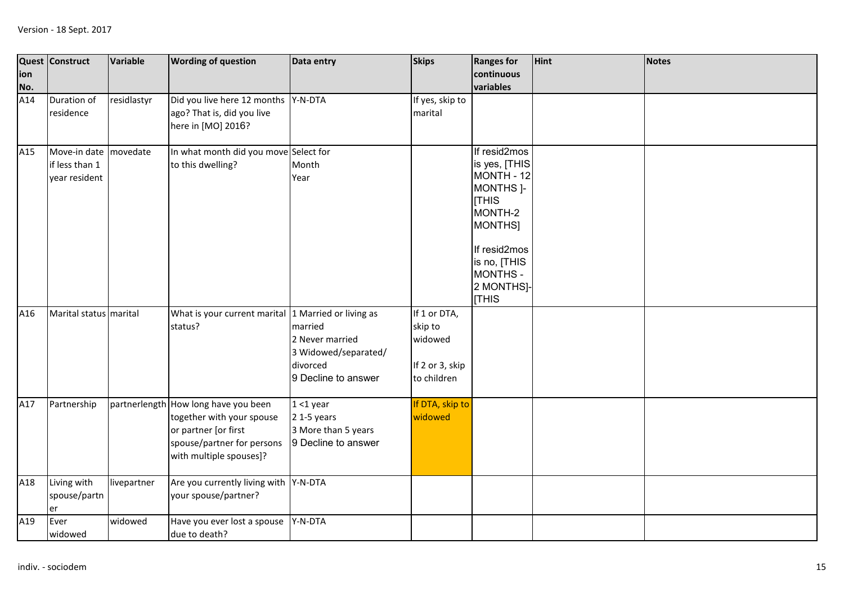| ion<br>No. | Quest Construct                                 | Variable    | <b>Wording of question</b>                                                                                                                         | Data entry                                                                            | <b>Skips</b>                                                         | <b>Ranges for</b><br>continuous<br>variables                                                                                                                                             | Hint | <b>Notes</b> |
|------------|-------------------------------------------------|-------------|----------------------------------------------------------------------------------------------------------------------------------------------------|---------------------------------------------------------------------------------------|----------------------------------------------------------------------|------------------------------------------------------------------------------------------------------------------------------------------------------------------------------------------|------|--------------|
| A14        | Duration of<br>residence                        | residlastyr | Did you live here 12 months Y-N-DTA<br>ago? That is, did you live<br>here in [MO] 2016?                                                            |                                                                                       | If yes, skip to<br>marital                                           |                                                                                                                                                                                          |      |              |
| A15        | Move-in date<br>if less than 1<br>year resident | movedate    | In what month did you move Select for<br>to this dwelling?                                                                                         | Month<br>Year                                                                         |                                                                      | If resid2mos<br>is yes, [THIS<br>MONTH - 12<br>MONTHS <sub>1</sub> -<br><b>THIS</b><br>MONTH-2<br>MONTHS]<br>If resid2mos<br>is no, [THIS<br><b>MONTHS-</b><br>2 MONTHS]-<br><b>THIS</b> |      |              |
| A16        | Marital status marital                          |             | What is your current marital 1 Married or living as<br>status?                                                                                     | married<br>2 Never married<br>3 Widowed/separated/<br>divorced<br>9 Decline to answer | If 1 or DTA,<br>skip to<br>widowed<br>If 2 or 3, skip<br>to children |                                                                                                                                                                                          |      |              |
| A17        | Partnership                                     |             | partnerlength How long have you been<br>together with your spouse<br>or partner [or first<br>spouse/partner for persons<br>with multiple spouses]? | $1 < 1$ year<br>$2$ 1-5 years<br>3 More than 5 years<br>9 Decline to answer           | If DTA, skip to<br>widowed                                           |                                                                                                                                                                                          |      |              |
| A18        | Living with<br>spouse/partn<br>er               | livepartner | Are you currently living with Y-N-DTA<br>your spouse/partner?                                                                                      |                                                                                       |                                                                      |                                                                                                                                                                                          |      |              |
| A19        | Ever<br>widowed                                 | widowed     | Have you ever lost a spouse<br>due to death?                                                                                                       | Y-N-DTA                                                                               |                                                                      |                                                                                                                                                                                          |      |              |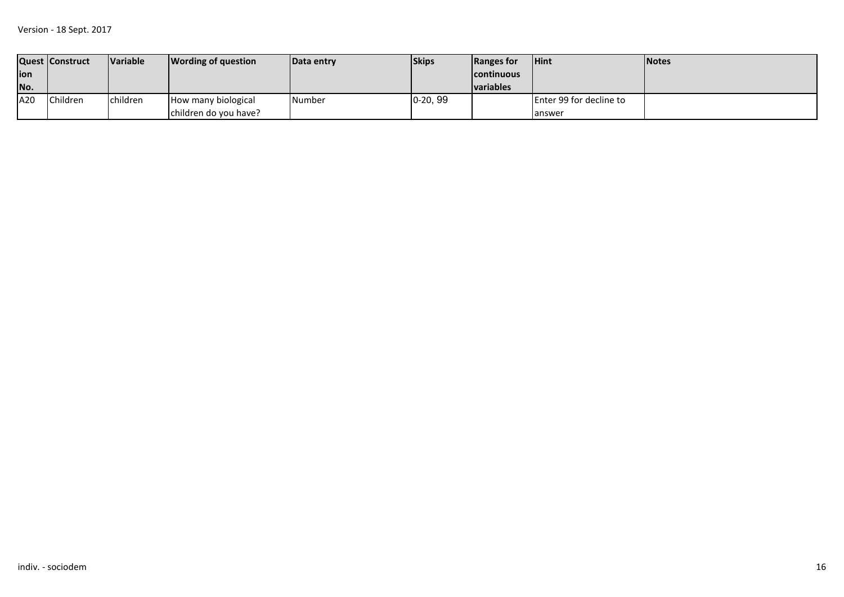|             | Quest   Construct | <b>Variable</b> | <b>Wording of question</b> | <b>IData entry</b> | <b>Skips</b> | Ranges for         | <b>Hint</b>             | <b>INotes</b> |
|-------------|-------------------|-----------------|----------------------------|--------------------|--------------|--------------------|-------------------------|---------------|
| <b>lion</b> |                   |                 |                            |                    |              | <b>Icontinuous</b> |                         |               |
| No.         |                   |                 |                            |                    |              | <b>Ivariables</b>  |                         |               |
| A20         | Children          | children        | How many biological        | <b>Number</b>      | $0-20, 99$   |                    | Enter 99 for decline to |               |
|             |                   |                 | children do you have?      |                    |              |                    | lanswer                 |               |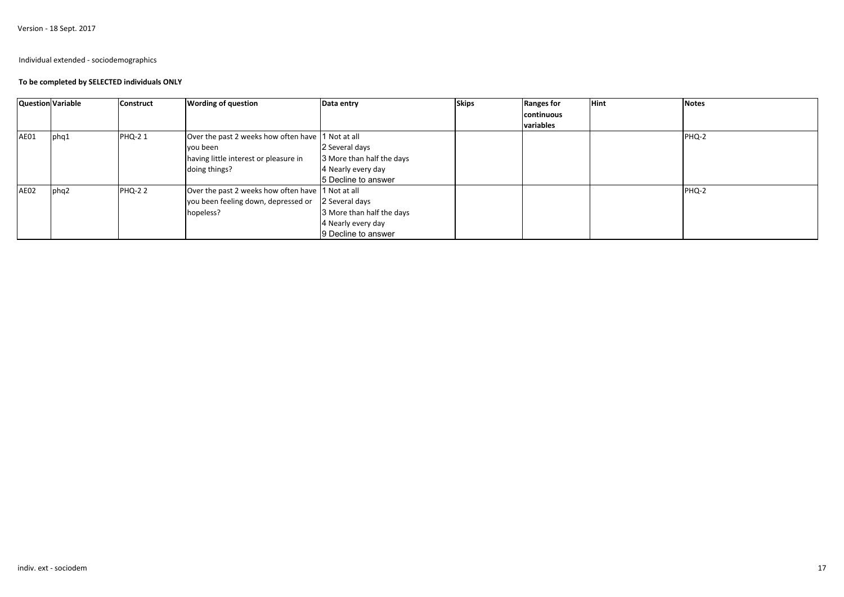Version - 18 Sept. 2017

### Individual extended - sociodemographics

### **To be completed by SELECTED individuals ONLY**

| <b>Question Variable</b> |       | <b>Construct</b> | <b>Wording of question</b>                         | Data entry                | <b>Skips</b> | <b>Ranges for</b> | <b>Hint</b> | <b>Notes</b> |
|--------------------------|-------|------------------|----------------------------------------------------|---------------------------|--------------|-------------------|-------------|--------------|
|                          |       |                  |                                                    |                           |              | continuous        |             |              |
|                          |       |                  |                                                    |                           |              | variables         |             |              |
| <b>AE01</b>              | lphq1 | <b>PHQ-21</b>    | Over the past 2 weeks how often have 1 Not at all  |                           |              |                   |             | PHQ-2        |
|                          |       |                  | you been                                           | 2 Several days            |              |                   |             |              |
|                          |       |                  | having little interest or pleasure in              | 3 More than half the days |              |                   |             |              |
|                          |       |                  | doing things?                                      | 4 Nearly every day        |              |                   |             |              |
|                          |       |                  |                                                    | 5 Decline to answer       |              |                   |             |              |
| AE02                     | phq2  | <b>PHQ-22</b>    | Over the past 2 weeks how often have 1 Not at all  |                           |              |                   |             | PHQ-2        |
|                          |       |                  | you been feeling down, depressed or 2 Several days |                           |              |                   |             |              |
|                          |       |                  | hopeless?                                          | 3 More than half the days |              |                   |             |              |
|                          |       |                  |                                                    | 4 Nearly every day        |              |                   |             |              |
|                          |       |                  |                                                    | 9 Decline to answer       |              |                   |             |              |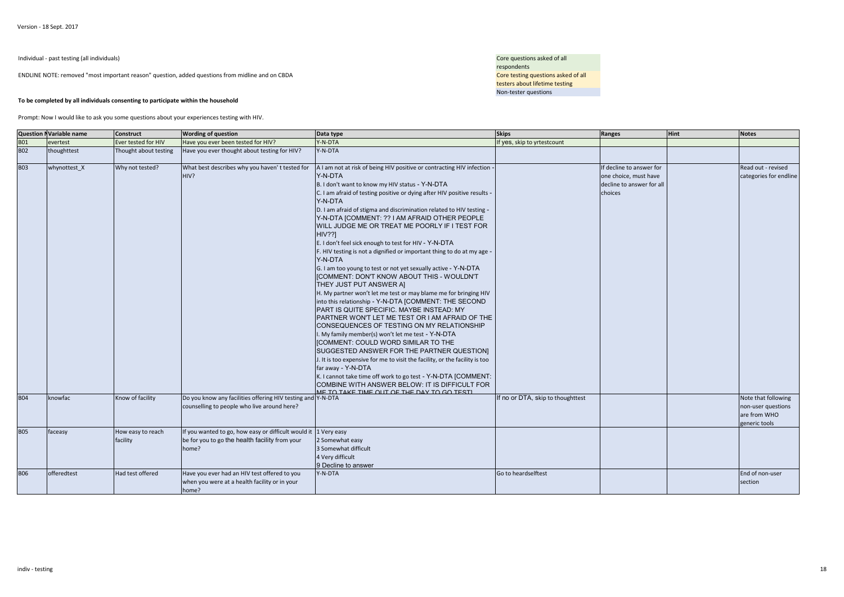Individual - past testing (all individuals)

ENDLINE NOTE: removed "most important reason" question, added questions from midline and on CBDA

#### **To be completed by all individuals consenting to participate within the household**

 Core questions asked of all respondents**Example 20 A** Core testing questions asked of all testers about lifetime testingNon-tester questions

Prompt: Now I would like to ask you some questions about your experiences testing with HIV.

|            | <b>Question NVariable name</b> | <b>Construct</b>              | <b>Wording of question</b>                                                                                                 | Data type                                                                                                                                                                                                                                                                                                                                                                                                                                                                                                                                                                                                                                                                                                                                                                                                                                                                                                                                                                                                                                                                                                                                                                                                                                                                                                                                                                                                      | <b>Skips</b>                      | Ranges                                                                                    | Hint | <b>Notes</b>                                                               |
|------------|--------------------------------|-------------------------------|----------------------------------------------------------------------------------------------------------------------------|----------------------------------------------------------------------------------------------------------------------------------------------------------------------------------------------------------------------------------------------------------------------------------------------------------------------------------------------------------------------------------------------------------------------------------------------------------------------------------------------------------------------------------------------------------------------------------------------------------------------------------------------------------------------------------------------------------------------------------------------------------------------------------------------------------------------------------------------------------------------------------------------------------------------------------------------------------------------------------------------------------------------------------------------------------------------------------------------------------------------------------------------------------------------------------------------------------------------------------------------------------------------------------------------------------------------------------------------------------------------------------------------------------------|-----------------------------------|-------------------------------------------------------------------------------------------|------|----------------------------------------------------------------------------|
| <b>B01</b> | evertest                       | Ever tested for HIV           | Have you ever been tested for HIV?                                                                                         | Y-N-DTA                                                                                                                                                                                                                                                                                                                                                                                                                                                                                                                                                                                                                                                                                                                                                                                                                                                                                                                                                                                                                                                                                                                                                                                                                                                                                                                                                                                                        | If yes, skip to yrtestcount       |                                                                                           |      |                                                                            |
| <b>B02</b> | thoughttest                    | Thought about testing         | Have you ever thought about testing for HIV?                                                                               | Y-N-DTA                                                                                                                                                                                                                                                                                                                                                                                                                                                                                                                                                                                                                                                                                                                                                                                                                                                                                                                                                                                                                                                                                                                                                                                                                                                                                                                                                                                                        |                                   |                                                                                           |      |                                                                            |
| <b>B03</b> | whynottest X                   | Why not tested?               | What best describes why you haven't tested for<br>HIV?                                                                     | A I am not at risk of being HIV positive or contracting HIV infection -<br>Y-N-DTA<br>B. I don't want to know my HIV status - Y-N-DTA<br>C. I am afraid of testing positive or dying after HIV positive results -<br>Y-N-DTA<br>D. I am afraid of stigma and discrimination related to HIV testing -<br>Y-N-DTA [COMMENT: ?? I AM AFRAID OTHER PEOPLE<br>WILL JUDGE ME OR TREAT ME POORLY IF I TEST FOR<br><b>HIV??1</b><br>E. I don't feel sick enough to test for HIV - Y-N-DTA<br>F. HIV testing is not a dignified or important thing to do at my age -<br>Y-N-DTA<br>G. I am too young to test or not yet sexually active - Y-N-DTA<br>[COMMENT: DON'T KNOW ABOUT THIS - WOULDN'T<br>THEY JUST PUT ANSWER AI<br>H. My partner won't let me test or may blame me for bringing HIV<br>into this relationship - Y-N-DTA [COMMENT: THE SECOND<br>PART IS QUITE SPECIFIC. MAYBE INSTEAD: MY<br>PARTNER WON'T LET ME TEST OR I AM AFRAID OF THE<br>CONSEQUENCES OF TESTING ON MY RELATIONSHIP<br>I. My family member(s) won't let me test - Y-N-DTA<br>ICOMMENT: COULD WORD SIMILAR TO THE<br>SUGGESTED ANSWER FOR THE PARTNER QUESTION]<br>J. It is too expensive for me to visit the facility, or the facility is too<br>far away - Y-N-DTA<br>K. I cannot take time off work to go test - Y-N-DTA [COMMENT:<br>COMBINE WITH ANSWER BELOW: IT IS DIFFICULT FOR<br>ΜΕ ΤΩ ΤΑΚΕ ΤΙΜΕ ΩΗΤ ΩΕ ΤΗΕ ΠΑΥ ΤΩ GO ΤΕSΤΙ. |                                   | If decline to answer for<br>one choice, must have<br>decline to answer for all<br>choices |      | Read out - revised<br>categories for endline                               |
| <b>B04</b> | knowfac                        | Know of facility              | Do you know any facilities offering HIV testing and Y-N-DTA<br>counselling to people who live around here?                 |                                                                                                                                                                                                                                                                                                                                                                                                                                                                                                                                                                                                                                                                                                                                                                                                                                                                                                                                                                                                                                                                                                                                                                                                                                                                                                                                                                                                                | If no or DTA, skip to thoughttest |                                                                                           |      | Note that following<br>non-user questions<br>are from WHO<br>generic tools |
| <b>B05</b> | faceasy                        | How easy to reach<br>facility | If you wanted to go, how easy or difficult would it 1 Very easy<br>be for you to go the health facility from your<br>home? | 2 Somewhat easy<br>3 Somewhat difficult<br>4 Very difficult<br>9 Decline to answer                                                                                                                                                                                                                                                                                                                                                                                                                                                                                                                                                                                                                                                                                                                                                                                                                                                                                                                                                                                                                                                                                                                                                                                                                                                                                                                             |                                   |                                                                                           |      |                                                                            |
| <b>B06</b> | offeredtest                    | Had test offered              | Have you ever had an HIV test offered to you<br>when you were at a health facility or in your<br>home?                     | Y-N-DTA                                                                                                                                                                                                                                                                                                                                                                                                                                                                                                                                                                                                                                                                                                                                                                                                                                                                                                                                                                                                                                                                                                                                                                                                                                                                                                                                                                                                        | Go to heardselftest               |                                                                                           |      | End of non-user<br>section                                                 |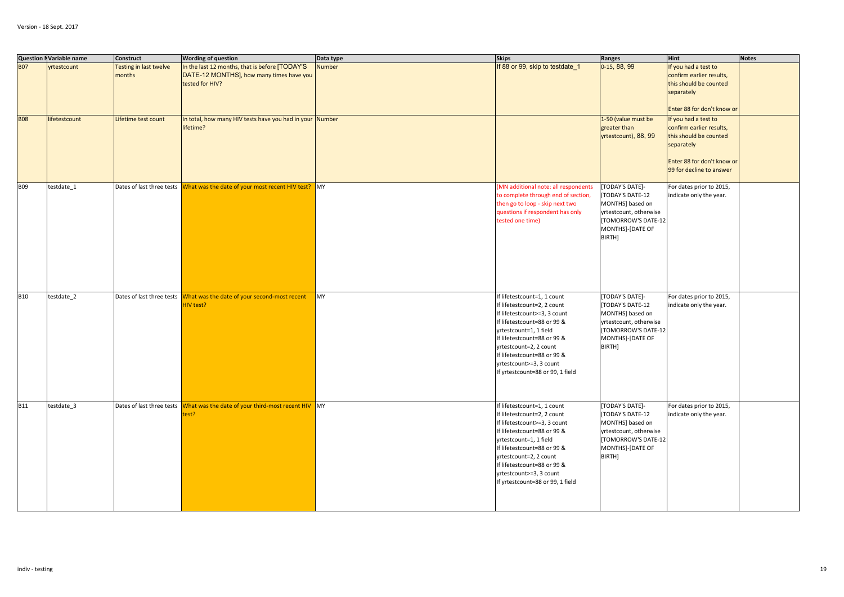|            | <b>Question NVariable name</b> | <b>Construct</b>                 | <b>Wording of question</b>                                                                                    | Data type     | <b>Skips</b>                                                                                                                                                                                                                                                                                               | Ranges                                                                                                                                       | <b>Hint</b>                                                                                                                                       | <b>Notes</b> |
|------------|--------------------------------|----------------------------------|---------------------------------------------------------------------------------------------------------------|---------------|------------------------------------------------------------------------------------------------------------------------------------------------------------------------------------------------------------------------------------------------------------------------------------------------------------|----------------------------------------------------------------------------------------------------------------------------------------------|---------------------------------------------------------------------------------------------------------------------------------------------------|--------------|
| <b>B07</b> | rtestcount                     | Testing in last twelve<br>months | In the last 12 months, that is before [TODAY'S<br>DATE-12 MONTHS], how many times have you<br>tested for HIV? | <b>Number</b> | If 88 or 99, skip to testdate_1                                                                                                                                                                                                                                                                            | 0-15, 88, 99                                                                                                                                 | f you had a test to<br>confirm earlier results,<br>this should be counted<br>separately<br>Enter 88 for don't know or                             |              |
| <b>B08</b> | lifetestcount                  | Lifetime test count              | In total, how many HIV tests have you had in your Number<br>lifetime?                                         |               |                                                                                                                                                                                                                                                                                                            | 1-50 (value must be<br>greater than<br>yrtestcount), 88, 99                                                                                  | f you had a test to<br>confirm earlier results,<br>this should be counted<br>separately<br>Enter 88 for don't know or<br>99 for decline to answer |              |
| <b>B09</b> | testdate_1                     |                                  | Dates of last three tests What was the date of your most recent HIV test? MY                                  |               | MN additional note: all respondents<br>to complete through end of section,<br>then go to loop - skip next two<br>questions if respondent has only<br>tested one time)                                                                                                                                      | [TODAY'S DATE]-<br>[TODAY'S DATE-12<br>MONTHS] based on<br>yrtestcount, otherwise<br>[TOMORROW'S DATE-12<br>MONTHS]-[DATE OF<br>BIRTH]       | For dates prior to 2015,<br>indicate only the year.                                                                                               |              |
| <b>B10</b> | testdate_2                     |                                  | Dates of last three tests What was the date of your second-most recent<br>HIV test?                           | MY            | If lifetestcount=1, 1 count<br>If lifetestcount=2, 2 count<br>If lifetestcount>=3, 3 count<br>If lifetestcount=88 or 99 &<br>yrtestcount=1, 1 field<br>If lifetestcount=88 or 99 &<br>yrtestcount=2, 2 count<br>If lifetestcount=88 or 99 &<br>yrtestcount>=3, 3 count<br>If yrtestcount=88 or 99, 1 field | [TODAY'S DATE]-<br>[TODAY'S DATE-12<br>MONTHS] based on<br>yrtestcount, otherwise<br>[TOMORROW'S DATE-12<br>MONTHS]-[DATE OF<br>BIRTH]       | For dates prior to 2015,<br>indicate only the year.                                                                                               |              |
| <b>B11</b> | testdate_3                     |                                  | Dates of last three tests What was the date of your third-most recent HIV MY<br>test?                         |               | If lifetestcount=1, 1 count<br>If lifetestcount=2, 2 count<br>If lifetestcount>=3, 3 count<br>If lifetestcount=88 or 99 &<br>yrtestcount=1, 1 field<br>If lifetestcount=88 or 99 &<br>yrtestcount=2, 2 count<br>If lifetestcount=88 or 99 &<br>yrtestcount>=3, 3 count<br>If yrtestcount=88 or 99, 1 field | [TODAY'S DATE]-<br><b>TODAY'S DATE-12</b><br>MONTHS] based on<br>yrtestcount, otherwise<br>[TOMORROW'S DATE-12<br>MONTHS]-[DATE OF<br>BIRTH] | For dates prior to 2015,<br>indicate only the year.                                                                                               |              |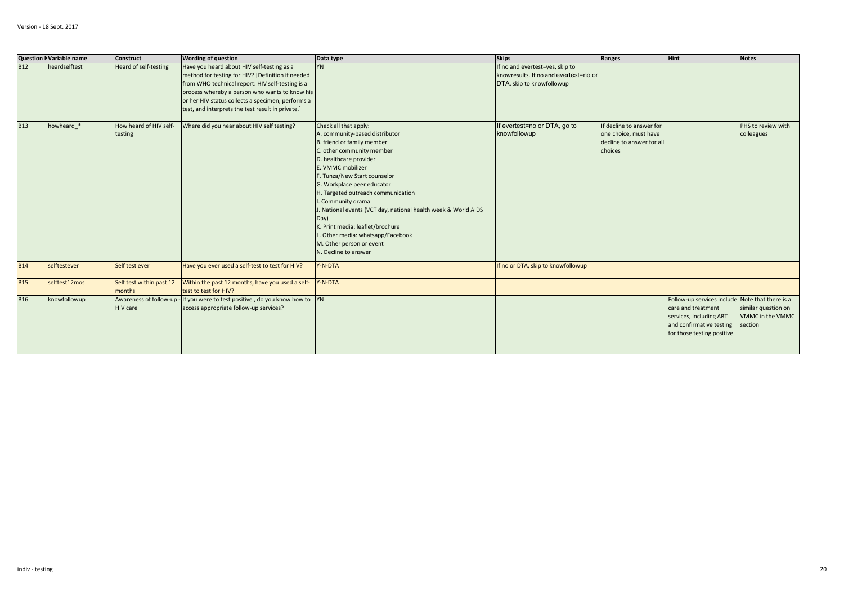|            | <b>Question NVariable name</b> | Construct                          | <b>Wording of question</b>                                                                                                                                                                                                                                                                                      | Data type                                                                                                                                                                                                                                                                                                                                                                                                                                                                                      | <b>Skips</b>                                                                                          | Ranges                                                                                    | Hint                                                                                                                                                        | <b>Notes</b>                                       |
|------------|--------------------------------|------------------------------------|-----------------------------------------------------------------------------------------------------------------------------------------------------------------------------------------------------------------------------------------------------------------------------------------------------------------|------------------------------------------------------------------------------------------------------------------------------------------------------------------------------------------------------------------------------------------------------------------------------------------------------------------------------------------------------------------------------------------------------------------------------------------------------------------------------------------------|-------------------------------------------------------------------------------------------------------|-------------------------------------------------------------------------------------------|-------------------------------------------------------------------------------------------------------------------------------------------------------------|----------------------------------------------------|
| <b>B12</b> | heardselftest                  | Heard of self-testing              | Have you heard about HIV self-testing as a<br>method for testing for HIV? [Definition if needed<br>from WHO technical report: HIV self-testing is a<br>process whereby a person who wants to know his<br>or her HIV status collects a specimen, performs a<br>test, and interprets the test result in private.] | <b>YN</b>                                                                                                                                                                                                                                                                                                                                                                                                                                                                                      | If no and evertest=yes, skip to<br>knowresults. If no and evertest=no or<br>DTA, skip to knowfollowup |                                                                                           |                                                                                                                                                             |                                                    |
| <b>B13</b> | howheard *                     | How heard of HIV self-<br>testing  | Where did you hear about HIV self testing?                                                                                                                                                                                                                                                                      | Check all that apply:<br>A. community-based distributor<br>B. friend or family member<br>C. other community member<br>D. healthcare provider<br>E. VMMC mobilizer<br>F. Tunza/New Start counselor<br>G. Workplace peer educator<br>H. Targeted outreach communication<br>. Community drama<br>J. National events (VCT day, national health week & World AIDS<br>Day)<br>K. Print media: leaflet/brochure<br>Other media: whatsapp/Facebook<br>M. Other person or event<br>N. Decline to answer | If evertest=no or DTA, go to<br>knowfollowup                                                          | If decline to answer for<br>one choice, must have<br>decline to answer for all<br>choices |                                                                                                                                                             | PHS to review with<br>colleagues                   |
| <b>B14</b> | selftestever                   | Self test ever                     | Have you ever used a self-test to test for HIV?                                                                                                                                                                                                                                                                 | Y-N-DTA                                                                                                                                                                                                                                                                                                                                                                                                                                                                                        | If no or DTA, skip to knowfollowup                                                                    |                                                                                           |                                                                                                                                                             |                                                    |
| <b>B15</b> | selftest12mos                  | Self test within past 12<br>months | Within the past 12 months, have you used a self-<br>test to test for HIV?                                                                                                                                                                                                                                       | Y-N-DTA                                                                                                                                                                                                                                                                                                                                                                                                                                                                                        |                                                                                                       |                                                                                           |                                                                                                                                                             |                                                    |
| <b>B16</b> | knowfollowup                   | <b>HIV</b> care                    | Awareness of follow-up - If you were to test positive, do you know how to YN<br>access appropriate follow-up services?                                                                                                                                                                                          |                                                                                                                                                                                                                                                                                                                                                                                                                                                                                                |                                                                                                       |                                                                                           | Follow-up services include Note that there is a<br>care and treatment<br>services, including ART<br>and confirmative testing<br>for those testing positive. | similar question on<br>VMMC in the VMMC<br>section |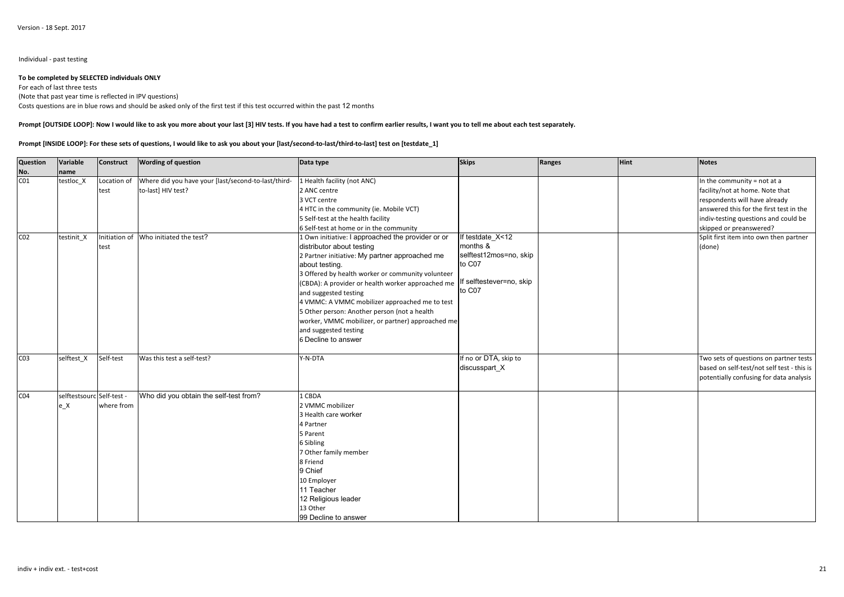#### Individual - past testing

### **To be completed by SELECTED individuals ONLY**

For each of last three tests (Note that past year time is reflected in IPV questions)Costs questions are in blue rows and should be asked only of the first test if this test occurred within the past 12 months

#### **Prompt [OUTSIDE LOOP]: Now I would like to ask you more about your last [3] HIV tests. If you have had a test to confirm earlier results, I want you to tell me about each test separately.**

#### **Prompt [INSIDE LOOP]: For these sets of questions, I would like to ask you about your [last/second-to-last/third-to-last] test on [testdate\_1]**

| Question        | Variable                  | Construct     | <b>Wording of question</b>                          | Data type                                         | <b>Skips</b>                       | Ranges | Hint | <b>Notes</b>                               |
|-----------------|---------------------------|---------------|-----------------------------------------------------|---------------------------------------------------|------------------------------------|--------|------|--------------------------------------------|
| No.             | name                      |               |                                                     |                                                   |                                    |        |      |                                            |
| CO <sub>1</sub> | testloc X                 | Location of   | Where did you have your [last/second-to-last/third- | 1 Health facility (not ANC)                       |                                    |        |      | In the community = not at a                |
|                 |                           | test          | to-last] HIV test?                                  | 2 ANC centre                                      |                                    |        |      | facility/not at home. Note that            |
|                 |                           |               |                                                     | 3 VCT centre                                      |                                    |        |      | respondents will have already              |
|                 |                           |               |                                                     | 4 HTC in the community (ie. Mobile VCT)           |                                    |        |      | answered this for the first test in the    |
|                 |                           |               |                                                     | 5 Self-test at the health facility                |                                    |        |      | indiv-testing questions and could be       |
|                 |                           |               |                                                     | 6 Self-test at home or in the community           |                                    |        |      | skipped or preanswered?                    |
| CO <sub>2</sub> | testinit X                | Initiation of | Who initiated the test?                             | 1 Own initiative: I approached the provider or or | If testdate X<12                   |        |      | Split first item into own then partner     |
|                 |                           | test          |                                                     | distributor about testing                         | months &                           |        |      | (done)                                     |
|                 |                           |               |                                                     | 2 Partner initiative: My partner approached me    | selftest12mos=no, skip             |        |      |                                            |
|                 |                           |               |                                                     | about testing.                                    | to C07                             |        |      |                                            |
|                 |                           |               |                                                     | 3 Offered by health worker or community volunteer |                                    |        |      |                                            |
|                 |                           |               |                                                     | (CBDA): A provider or health worker approached me | If selftestever=no, skip<br>to C07 |        |      |                                            |
|                 |                           |               |                                                     | and suggested testing                             |                                    |        |      |                                            |
|                 |                           |               |                                                     | 4 VMMC: A VMMC mobilizer approached me to test    |                                    |        |      |                                            |
|                 |                           |               |                                                     | 5 Other person: Another person (not a health      |                                    |        |      |                                            |
|                 |                           |               |                                                     | worker, VMMC mobilizer, or partner) approached me |                                    |        |      |                                            |
|                 |                           |               |                                                     | and suggested testing                             |                                    |        |      |                                            |
|                 |                           |               |                                                     | 6 Decline to answer                               |                                    |        |      |                                            |
| CO <sub>3</sub> | selftest_X                | Self-test     | Was this test a self-test?                          | Y-N-DTA                                           | If no or DTA, skip to              |        |      | Two sets of questions on partner tests     |
|                 |                           |               |                                                     |                                                   | discusspart_X                      |        |      | based on self-test/not self test - this is |
|                 |                           |               |                                                     |                                                   |                                    |        |      | potentially confusing for data analysis    |
| CO <sub>4</sub> | selftestsourc Self-test - |               | Who did you obtain the self-test from?              | 1 CBDA                                            |                                    |        |      |                                            |
|                 | $e_{X}$                   | where from    |                                                     | 2 VMMC mobilizer                                  |                                    |        |      |                                            |
|                 |                           |               |                                                     | 3 Health care worker                              |                                    |        |      |                                            |
|                 |                           |               |                                                     | 4 Partner                                         |                                    |        |      |                                            |
|                 |                           |               |                                                     | 5 Parent                                          |                                    |        |      |                                            |
|                 |                           |               |                                                     | 6 Sibling                                         |                                    |        |      |                                            |
|                 |                           |               |                                                     | 7 Other family member                             |                                    |        |      |                                            |
|                 |                           |               |                                                     | 8 Friend                                          |                                    |        |      |                                            |
|                 |                           |               |                                                     | 9 Chief                                           |                                    |        |      |                                            |
|                 |                           |               |                                                     | 10 Employer                                       |                                    |        |      |                                            |
|                 |                           |               |                                                     | 11 Teacher                                        |                                    |        |      |                                            |
|                 |                           |               |                                                     | 12 Religious leader                               |                                    |        |      |                                            |
|                 |                           |               |                                                     | 13 Other                                          |                                    |        |      |                                            |
|                 |                           |               |                                                     | 99 Decline to answer                              |                                    |        |      |                                            |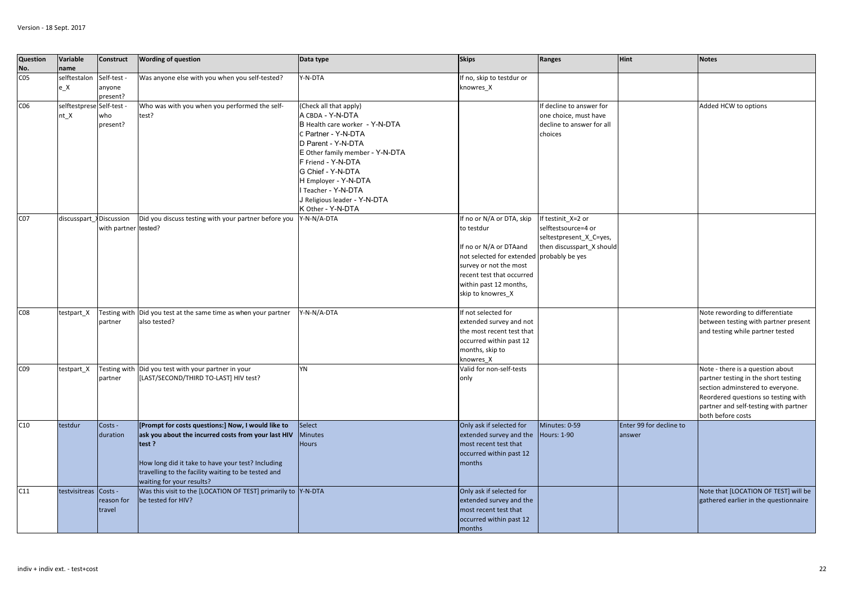| Question<br>No. | Variable<br>name                | <b>Construct</b>                  | <b>Wording of question</b>                                                                                                                                                                                                                                  | Data type                                                                                                                                                                                                                                                                                               | <b>Skips</b>                                                                                                                                                                                                         | Ranges                                                                                            | <b>Hint</b>                       | <b>Notes</b>                                                                                                                                                                                                      |
|-----------------|---------------------------------|-----------------------------------|-------------------------------------------------------------------------------------------------------------------------------------------------------------------------------------------------------------------------------------------------------------|---------------------------------------------------------------------------------------------------------------------------------------------------------------------------------------------------------------------------------------------------------------------------------------------------------|----------------------------------------------------------------------------------------------------------------------------------------------------------------------------------------------------------------------|---------------------------------------------------------------------------------------------------|-----------------------------------|-------------------------------------------------------------------------------------------------------------------------------------------------------------------------------------------------------------------|
| C <sub>05</sub> | selftestalon<br>e X             | Self-test -<br>anyone<br>present? | Was anyone else with you when you self-tested?                                                                                                                                                                                                              | Y-N-DTA                                                                                                                                                                                                                                                                                                 | If no, skip to testdur or<br>knowres X                                                                                                                                                                               |                                                                                                   |                                   |                                                                                                                                                                                                                   |
| CO6             | selftestprese Self-test<br>nt X | who<br>present?                   | Who was with you when you performed the self-<br>test?                                                                                                                                                                                                      | (Check all that apply)<br>A CBDA - Y-N-DTA<br>B Health care worker - Y-N-DTA<br>Partner - Y-N-DTA<br>D Parent - Y-N-DTA<br>E Other family member - Y-N-DTA<br>F Friend - Y-N-DTA<br>G Chief - Y-N-DTA<br>H Employer - Y-N-DTA<br>Teacher - Y-N-DTA<br>J Religious leader - Y-N-DTA<br>K Other - Y-N-DTA |                                                                                                                                                                                                                      | If decline to answer for<br>one choice, must have<br>decline to answer for all<br>choices         |                                   | Added HCW to options                                                                                                                                                                                              |
| CO <sub>7</sub> | discusspart >Discussion         | with partner tested?              | Did you discuss testing with your partner before you                                                                                                                                                                                                        | Y-N-N/A-DTA                                                                                                                                                                                                                                                                                             | If no or N/A or DTA, skip<br>to testdur<br>If no or N/A or DTAand<br>not selected for extended probably be yes<br>survey or not the most<br>recent test that occurred<br>within past 12 months,<br>skip to knowres_X | If testinit X=2 or<br>selftestsource=4 or<br>seltestpresent X C=yes,<br>then discusspart_X should |                                   |                                                                                                                                                                                                                   |
| CO8             | testpart X                      | partner                           | Testing with Did you test at the same time as when your partner<br>also tested?                                                                                                                                                                             | Y-N-N/A-DTA                                                                                                                                                                                                                                                                                             | If not selected for<br>extended survey and not<br>the most recent test that<br>occurred within past 12<br>months, skip to<br>knowres X                                                                               |                                                                                                   |                                   | Note rewording to differentiate<br>between testing with partner present<br>and testing while partner tested                                                                                                       |
| CO9             | testpart_X                      | Testing with<br>partner           | Did you test with your partner in your<br>[LAST/SECOND/THIRD TO-LAST] HIV test?                                                                                                                                                                             | YN                                                                                                                                                                                                                                                                                                      | Valid for non-self-tests<br>only                                                                                                                                                                                     |                                                                                                   |                                   | Note - there is a question about<br>partner testing in the short testing<br>section adminstered to everyone.<br>Reordered questions so testing with<br>partner and self-testing with partner<br>both before costs |
| C10             | testdur                         | Costs -<br>duration               | [Prompt for costs questions:] Now, I would like to<br>ask you about the incurred costs from your last HIV<br>test?<br>How long did it take to have your test? Including<br>travelling to the facility waiting to be tested and<br>waiting for your results? | Select<br><b>Minutes</b><br><b>Hours</b>                                                                                                                                                                                                                                                                | Only ask if selected for<br>extended survey and the<br>most recent test that<br>occurred within past 12<br>months                                                                                                    | Minutes: 0-59<br><b>Hours: 1-90</b>                                                               | Enter 99 for decline to<br>answer |                                                                                                                                                                                                                   |
| C11             | testvisitreas                   | Costs -<br>reason for<br>travel   | Was this visit to the [LOCATION OF TEST] primarily to Y-N-DTA<br>be tested for HIV?                                                                                                                                                                         |                                                                                                                                                                                                                                                                                                         | Only ask if selected for<br>extended survey and the<br>most recent test that<br>occurred within past 12<br>months                                                                                                    |                                                                                                   |                                   | Note that [LOCATION OF TEST] will be<br>gathered earlier in the questionnaire                                                                                                                                     |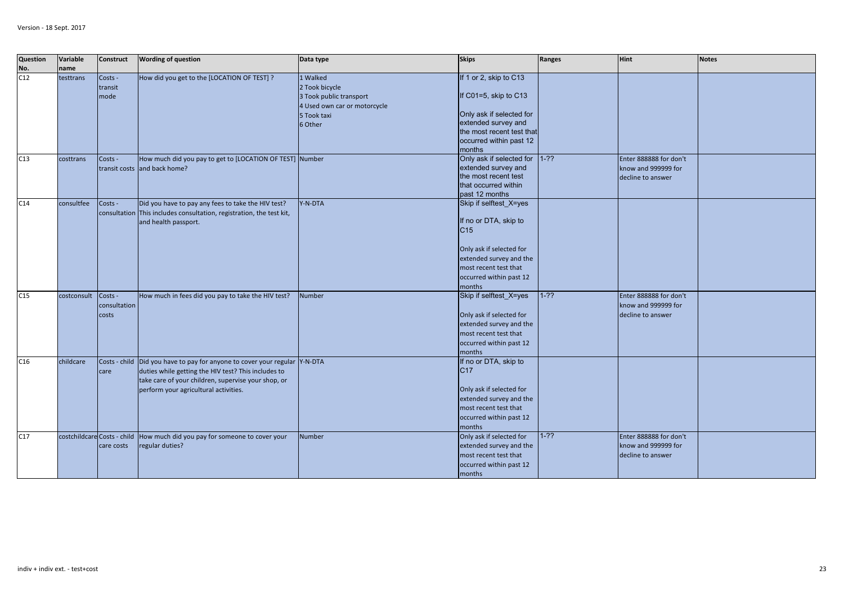| Question          | Variable                    | <b>Construct</b> | <b>Wording of question</b>                                           | Data type                    | <b>Skips</b>              | <b>Ranges</b> | Hint                   | <b>Notes</b> |
|-------------------|-----------------------------|------------------|----------------------------------------------------------------------|------------------------------|---------------------------|---------------|------------------------|--------------|
| <b>No.</b><br>C12 | name                        |                  |                                                                      |                              |                           |               |                        |              |
|                   | testtrans                   | Costs -          | How did you get to the [LOCATION OF TEST] ?                          | 1 Walked                     | If 1 or 2, skip to C13    |               |                        |              |
|                   |                             | transit          |                                                                      | 2 Took bicycle               |                           |               |                        |              |
|                   |                             | mode             |                                                                      | 3 Took public transport      | If C01=5, skip to C13     |               |                        |              |
|                   |                             |                  |                                                                      | 4 Used own car or motorcycle |                           |               |                        |              |
|                   |                             |                  |                                                                      | 5 Took taxi                  | Only ask if selected for  |               |                        |              |
|                   |                             |                  |                                                                      | 6 Other                      | extended survey and       |               |                        |              |
|                   |                             |                  |                                                                      |                              | the most recent test that |               |                        |              |
|                   |                             |                  |                                                                      |                              | occurred within past 12   |               |                        |              |
|                   |                             |                  |                                                                      |                              | months                    |               |                        |              |
| C13               | costtrans                   | Costs -          | How much did you pay to get to [LOCATION OF TEST] Number             |                              | Only ask if selected for  | $1 - ??$      | Enter 888888 for don't |              |
|                   |                             |                  | transit costs and back home?                                         |                              | extended survey and       |               | know and 999999 for    |              |
|                   |                             |                  |                                                                      |                              | the most recent test      |               | decline to answer      |              |
|                   |                             |                  |                                                                      |                              | that occurred within      |               |                        |              |
|                   |                             |                  |                                                                      |                              | past 12 months            |               |                        |              |
| C14               | consultfee                  | Costs -          | Did you have to pay any fees to take the HIV test?                   | Y-N-DTA                      | Skip if selftest_X=yes    |               |                        |              |
|                   |                             |                  | consultation This includes consultation, registration, the test kit, |                              |                           |               |                        |              |
|                   |                             |                  | and health passport.                                                 |                              | If no or DTA, skip to     |               |                        |              |
|                   |                             |                  |                                                                      |                              | C <sub>15</sub>           |               |                        |              |
|                   |                             |                  |                                                                      |                              |                           |               |                        |              |
|                   |                             |                  |                                                                      |                              | Only ask if selected for  |               |                        |              |
|                   |                             |                  |                                                                      |                              | extended survey and the   |               |                        |              |
|                   |                             |                  |                                                                      |                              | most recent test that     |               |                        |              |
|                   |                             |                  |                                                                      |                              | occurred within past 12   |               |                        |              |
|                   |                             |                  |                                                                      |                              | months                    |               |                        |              |
| C15               | costconsult                 | Costs -          | How much in fees did you pay to take the HIV test?                   | Number                       | Skip if selftest_X=yes    | $1 - ??$      | Enter 888888 for don't |              |
|                   |                             | consultation     |                                                                      |                              |                           |               | know and 999999 for    |              |
|                   |                             | costs            |                                                                      |                              | Only ask if selected for  |               | decline to answer      |              |
|                   |                             |                  |                                                                      |                              | extended survey and the   |               |                        |              |
|                   |                             |                  |                                                                      |                              | most recent test that     |               |                        |              |
|                   |                             |                  |                                                                      |                              | occurred within past 12   |               |                        |              |
|                   |                             |                  |                                                                      |                              | months                    |               |                        |              |
| C16               | childcare                   |                  | Costs - child Did you have to pay for anyone to cover your regular   | Y-N-DTA                      | If no or DTA, skip to     |               |                        |              |
|                   |                             | care             | duties while getting the HIV test? This includes to                  |                              | C17                       |               |                        |              |
|                   |                             |                  | take care of your children, supervise your shop, or                  |                              |                           |               |                        |              |
|                   |                             |                  | perform your agricultural activities.                                |                              | Only ask if selected for  |               |                        |              |
|                   |                             |                  |                                                                      |                              | extended survey and the   |               |                        |              |
|                   |                             |                  |                                                                      |                              | most recent test that     |               |                        |              |
|                   |                             |                  |                                                                      |                              | occurred within past 12   |               |                        |              |
|                   |                             |                  |                                                                      |                              | months                    |               |                        |              |
| C17               | costchildcare Costs - child |                  | How much did you pay for someone to cover your                       | <b>Number</b>                | Only ask if selected for  | $1 - ??$      | Enter 888888 for don't |              |
|                   |                             | care costs       | regular duties?                                                      |                              | extended survey and the   |               | know and 999999 for    |              |
|                   |                             |                  |                                                                      |                              | most recent test that     |               | decline to answer      |              |
|                   |                             |                  |                                                                      |                              | occurred within past 12   |               |                        |              |
|                   |                             |                  |                                                                      |                              | months                    |               |                        |              |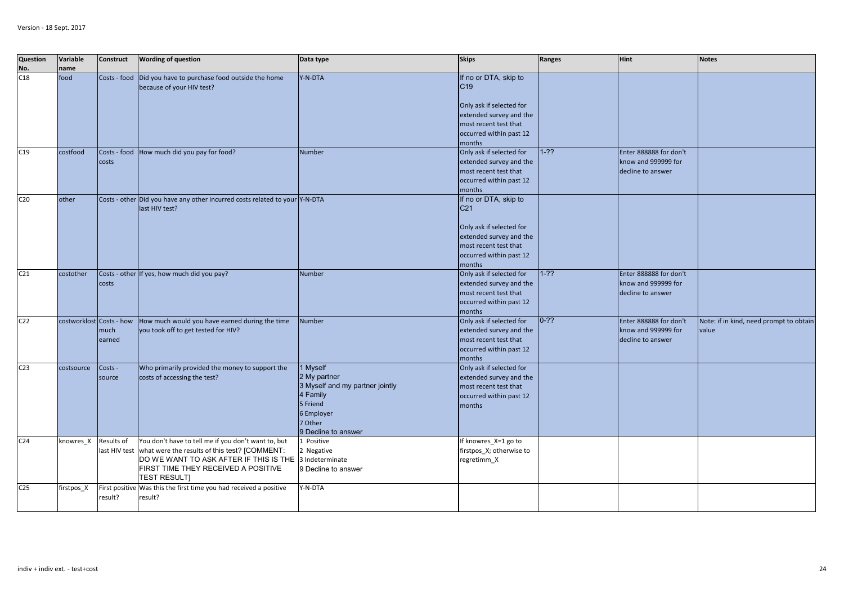| Question<br>No. | Variable<br>name         | <b>Construct</b>            | <b>Wording of question</b>                                                                                                                                                                                   | Data type                                                                                                                           | <b>Skips</b>                                                                                                                                                  | Ranges   | <b>Hint</b>                                                        | <b>Notes</b>                                     |
|-----------------|--------------------------|-----------------------------|--------------------------------------------------------------------------------------------------------------------------------------------------------------------------------------------------------------|-------------------------------------------------------------------------------------------------------------------------------------|---------------------------------------------------------------------------------------------------------------------------------------------------------------|----------|--------------------------------------------------------------------|--------------------------------------------------|
| C18             | food                     |                             | Costs - food Did you have to purchase food outside the home<br>because of your HIV test?                                                                                                                     | Y-N-DTA                                                                                                                             | If no or DTA, skip to<br>C <sub>19</sub><br>Only ask if selected for<br>extended survey and the<br>most recent test that<br>occurred within past 12<br>months |          |                                                                    |                                                  |
| C19             | costfood                 | costs                       | Costs - food How much did you pay for food?                                                                                                                                                                  | <b>Number</b>                                                                                                                       | Only ask if selected for<br>extended survey and the<br>most recent test that<br>occurred within past 12<br>months                                             | $1-22$   | Enter 888888 for don't<br>know and 999999 for<br>decline to answer |                                                  |
| C <sub>20</sub> | other                    |                             | Costs - other Did you have any other incurred costs related to your Y-N-DTA<br>last HIV test?                                                                                                                |                                                                                                                                     | If no or DTA, skip to<br>C <sub>21</sub><br>Only ask if selected for<br>extended survey and the<br>most recent test that<br>occurred within past 12<br>months |          |                                                                    |                                                  |
| C <sub>21</sub> | costother                | costs                       | Costs - other If yes, how much did you pay?                                                                                                                                                                  | Number                                                                                                                              | Only ask if selected for<br>extended survey and the<br>most recent test that<br>occurred within past 12<br>months                                             | $1 - ??$ | Enter 888888 for don't<br>know and 999999 for<br>decline to answer |                                                  |
| C <sub>22</sub> | costworklost Costs - how | much<br>earned              | How much would you have earned during the time<br>you took off to get tested for HIV?                                                                                                                        | <b>Number</b>                                                                                                                       | Only ask if selected for<br>extended survey and the<br>most recent test that<br>occurred within past 12<br>months                                             | $0-22$   | Enter 888888 for don't<br>know and 999999 for<br>decline to answer | Note: if in kind, need prompt to obtain<br>value |
| C <sub>23</sub> | costsource               | Costs -<br>source           | Who primarily provided the money to support the<br>costs of accessing the test?                                                                                                                              | 1 Myself<br>2 My partner<br>3 Myself and my partner jointly<br>4 Family<br>5 Friend<br>6 Employer<br>7 Other<br>9 Decline to answer | Only ask if selected for<br>extended survey and the<br>most recent test that<br>occurred within past 12<br>months                                             |          |                                                                    |                                                  |
| C <sub>24</sub> | knowres X                | Results of<br>last HIV test | You don't have to tell me if you don't want to, but<br>what were the results of this test? [COMMENT:<br>DO WE WANT TO ASK AFTER IF THIS IS THE<br>FIRST TIME THEY RECEIVED A POSITIVE<br><b>TEST RESULTI</b> | Positive<br><b>Negative</b><br>3 Indeterminate<br>9 Decline to answer                                                               | If knowres X=1 go to<br>firstpos_X; otherwise to<br>regretimm_X                                                                                               |          |                                                                    |                                                  |
| C <sub>25</sub> | firstpos_X               | First positive<br>result?   | Was this the first time you had received a positive<br>result?                                                                                                                                               | Y-N-DTA                                                                                                                             |                                                                                                                                                               |          |                                                                    |                                                  |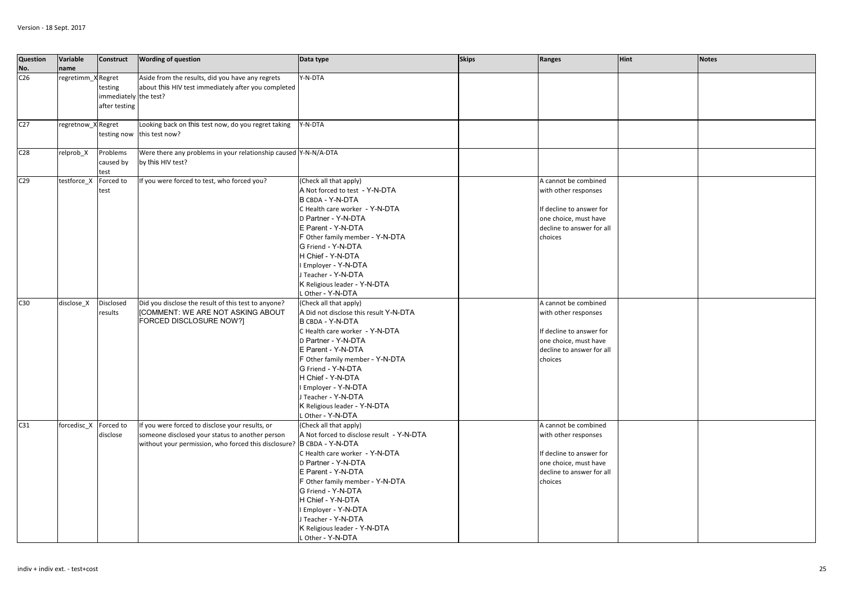| <b>Question</b><br>No. | Variable<br>name   | <b>Construct</b>                                  | <b>Wording of question</b>                                                                                                                                                  | Data type                                                                                                                                                                                                                                                                                                                                       | <b>Skips</b> | Ranges                                                                                                                                    | <b>Hint</b> | <b>Notes</b> |
|------------------------|--------------------|---------------------------------------------------|-----------------------------------------------------------------------------------------------------------------------------------------------------------------------------|-------------------------------------------------------------------------------------------------------------------------------------------------------------------------------------------------------------------------------------------------------------------------------------------------------------------------------------------------|--------------|-------------------------------------------------------------------------------------------------------------------------------------------|-------------|--------------|
| C <sub>26</sub>        | regretimm_X Regret | testing<br>immediately the test?<br>after testing | Aside from the results, did you have any regrets<br>about this HIV test immediately after you completed                                                                     | Y-N-DTA                                                                                                                                                                                                                                                                                                                                         |              |                                                                                                                                           |             |              |
| C <sub>27</sub>        | regretnow_X Regret | testing now                                       | Looking back on this test now, do you regret taking<br>this test now?                                                                                                       | Y-N-DTA                                                                                                                                                                                                                                                                                                                                         |              |                                                                                                                                           |             |              |
| C <sub>28</sub>        | relprob_X          | Problems<br>caused by<br>test                     | Were there any problems in your relationship caused Y-N-N/A-DTA<br>by this HIV test?                                                                                        |                                                                                                                                                                                                                                                                                                                                                 |              |                                                                                                                                           |             |              |
| C <sub>29</sub>        | testforce_X        | Forced to<br>test                                 | If you were forced to test, who forced you?                                                                                                                                 | (Check all that apply)<br>A Not forced to test - Y-N-DTA<br>B CBDA - Y-N-DTA<br>C Health care worker - Y-N-DTA<br>D Partner - Y-N-DTA<br>E Parent - Y-N-DTA<br>F Other family member - Y-N-DTA<br>G Friend - Y-N-DTA<br>H Chief - Y-N-DTA<br>I Employer - Y-N-DTA<br>Teacher - Y-N-DTA<br>K Religious leader - Y-N-DTA<br>Other - Y-N-DTA       |              | A cannot be combined<br>with other responses<br>If decline to answer for<br>one choice, must have<br>decline to answer for all<br>choices |             |              |
| C30                    | disclose X         | <b>Disclosed</b><br>results                       | Did you disclose the result of this test to anyone?<br><b>[COMMENT: WE ARE NOT ASKING ABOUT</b><br>FORCED DISCLOSURE NOW?]                                                  | (Check all that apply)<br>A Did not disclose this result Y-N-DTA<br>B CBDA - Y-N-DTA<br>C Health care worker - Y-N-DTA<br>D Partner - Y-N-DTA<br>E Parent - Y-N-DTA<br>F Other family member - Y-N-DTA<br>G Friend - Y-N-DTA<br>H Chief - Y-N-DTA<br>Employer - Y-N-DTA<br>Teacher - Y-N-DTA<br>K Religious leader - Y-N-DTA<br>Other - Y-N-DTA |              | A cannot be combined<br>with other responses<br>If decline to answer for<br>one choice, must have<br>decline to answer for all<br>choices |             |              |
| C31                    | forcedisc X        | Forced to<br>disclose                             | If you were forced to disclose your results, or<br>someone disclosed your status to another person<br>without your permission, who forced this disclosure? B CBDA - Y-N-DTA | (Check all that apply)<br>A Not forced to disclose result - Y-N-DTA<br>C Health care worker - Y-N-DTA<br>D Partner - Y-N-DTA<br>E Parent - Y-N-DTA<br>F Other family member - Y-N-DTA<br>G Friend - Y-N-DTA<br>H Chief - Y-N-DTA<br>Employer - Y-N-DTA<br>J Teacher - Y-N-DTA<br>K Religious leader - Y-N-DTA<br>L Other - Y-N-DTA              |              | A cannot be combined<br>with other responses<br>If decline to answer for<br>one choice, must have<br>decline to answer for all<br>choices |             |              |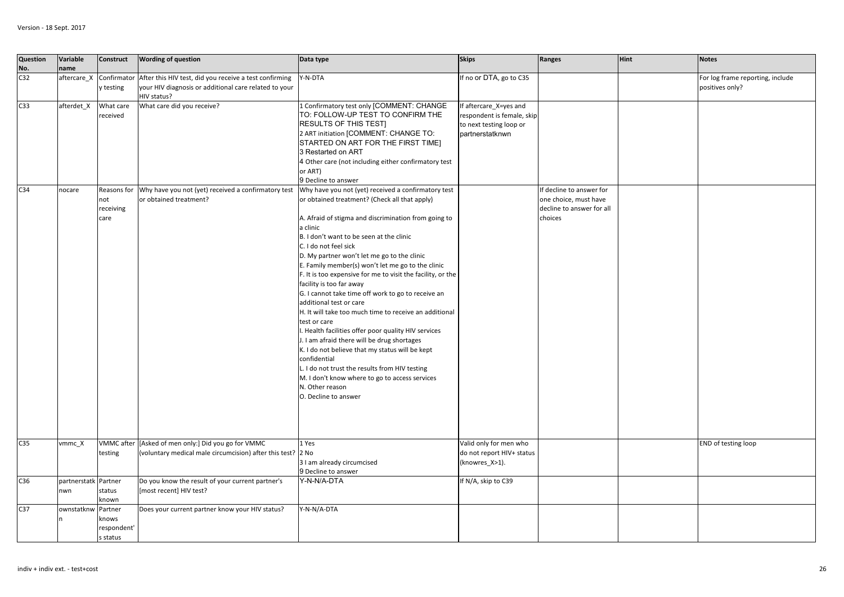| Question<br>No. | Variable<br>name            | <b>Construct</b>                            | <b>Wording of question</b>                                                                                                     | Data type                                                                                                                                                                                                                                                                                                                                                                                                                                                                                                                                                                                                                                                                                                                                                                                                                                                                                                                       | <b>Skips</b>                                                                                      | Ranges                                                                                    | <b>Hint</b> | <b>Notes</b>                                        |
|-----------------|-----------------------------|---------------------------------------------|--------------------------------------------------------------------------------------------------------------------------------|---------------------------------------------------------------------------------------------------------------------------------------------------------------------------------------------------------------------------------------------------------------------------------------------------------------------------------------------------------------------------------------------------------------------------------------------------------------------------------------------------------------------------------------------------------------------------------------------------------------------------------------------------------------------------------------------------------------------------------------------------------------------------------------------------------------------------------------------------------------------------------------------------------------------------------|---------------------------------------------------------------------------------------------------|-------------------------------------------------------------------------------------------|-------------|-----------------------------------------------------|
| C <sub>32</sub> | aftercare_X                 | Confirmator<br>y testing                    | After this HIV test, did you receive a test confirming<br>your HIV diagnosis or additional care related to your<br>HIV status? | Y-N-DTA                                                                                                                                                                                                                                                                                                                                                                                                                                                                                                                                                                                                                                                                                                                                                                                                                                                                                                                         | If no or DTA, go to C35                                                                           |                                                                                           |             | For log frame reporting, include<br>positives only? |
| C <sub>33</sub> | afterdet_X                  | What care<br>received                       | What care did you receive?                                                                                                     | 1 Confirmatory test only [COMMENT: CHANGE<br>TO: FOLLOW-UP TEST TO CONFIRM THE<br>RESULTS OF THIS TESTI<br>2 ART initiation [COMMENT: CHANGE TO:<br>STARTED ON ART FOR THE FIRST TIME]<br>3 Restarted on ART<br>4 Other care (not including either confirmatory test<br>or ART)<br>9 Decline to answer                                                                                                                                                                                                                                                                                                                                                                                                                                                                                                                                                                                                                          | If aftercare_X=yes and<br>espondent is female, skip<br>to next testing loop or<br>partnerstatknwn |                                                                                           |             |                                                     |
| C <sub>34</sub> | nocare                      | Reasons for<br>not<br>receiving<br>care     | Why have you not (yet) received a confirmatory test<br>or obtained treatment?                                                  | Why have you not (yet) received a confirmatory test<br>or obtained treatment? (Check all that apply)<br>A. Afraid of stigma and discrimination from going to<br>a clinic<br>B. I don't want to be seen at the clinic<br>C. I do not feel sick<br>D. My partner won't let me go to the clinic<br>E. Family member(s) won't let me go to the clinic<br>F. It is too expensive for me to visit the facility, or the<br>facility is too far away<br>G. I cannot take time off work to go to receive an<br>additional test or care<br>H. It will take too much time to receive an additional<br>test or care<br>. Health facilities offer poor quality HIV services<br>J. I am afraid there will be drug shortages<br>K. I do not believe that my status will be kept<br>confidential<br>L. I do not trust the results from HIV testing<br>M. I don't know where to go to access services<br>N. Other reason<br>O. Decline to answer |                                                                                                   | If decline to answer for<br>one choice, must have<br>decline to answer for all<br>choices |             |                                                     |
| C <sub>35</sub> | vmmc X                      | testing                                     | VMMC after [Asked of men only:] Did you go for VMMC<br>(voluntary medical male circumcision) after this test? 2 No             | 1 Yes<br>3 I am already circumcised<br>9 Decline to answer                                                                                                                                                                                                                                                                                                                                                                                                                                                                                                                                                                                                                                                                                                                                                                                                                                                                      | Valid only for men who<br>do not report HIV+ status<br>(knowres_X>1).                             |                                                                                           |             | <b>END</b> of testing loop                          |
| C36             | partnerstatk Partner<br>nwn | status<br>known                             | Do you know the result of your current partner's<br>[most recent] HIV test?                                                    | Y-N-N/A-DTA                                                                                                                                                                                                                                                                                                                                                                                                                                                                                                                                                                                                                                                                                                                                                                                                                                                                                                                     | If N/A, skip to C39                                                                               |                                                                                           |             |                                                     |
| C <sub>37</sub> | ownstatknw                  | Partner<br>knows<br>respondent'<br>s status | Does your current partner know your HIV status?                                                                                | Y-N-N/A-DTA                                                                                                                                                                                                                                                                                                                                                                                                                                                                                                                                                                                                                                                                                                                                                                                                                                                                                                                     |                                                                                                   |                                                                                           |             |                                                     |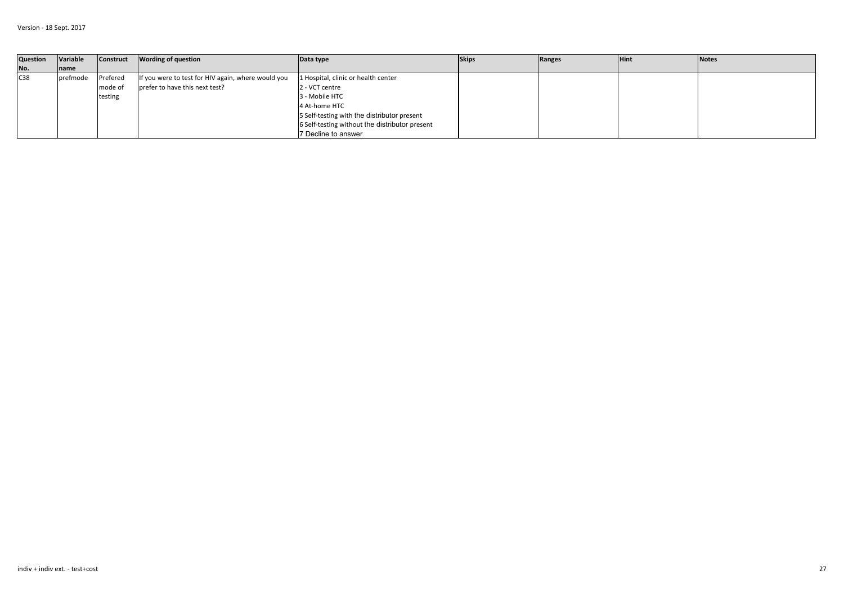| Question | Variable          | Construct | <b>Wording of question</b>                         | Data type                                      | <b>Skips</b> | Ranges | <b>Hint</b> | <b>Notes</b> |
|----------|-------------------|-----------|----------------------------------------------------|------------------------------------------------|--------------|--------|-------------|--------------|
| No.      | name              |           |                                                    |                                                |              |        |             |              |
| C38      | <b>I</b> prefmode | Prefered  | If you were to test for HIV again, where would you | 1 Hospital, clinic or health center            |              |        |             |              |
|          |                   | mode of   | prefer to have this next test?                     | 2 - VCT centre                                 |              |        |             |              |
|          |                   | testing   |                                                    | 3 - Mobile HTC                                 |              |        |             |              |
|          |                   |           |                                                    | 4 At-home HTC                                  |              |        |             |              |
|          |                   |           |                                                    | 5 Self-testing with the distributor present    |              |        |             |              |
|          |                   |           |                                                    | 6 Self-testing without the distributor present |              |        |             |              |
|          |                   |           |                                                    | 7 Decline to answer                            |              |        |             |              |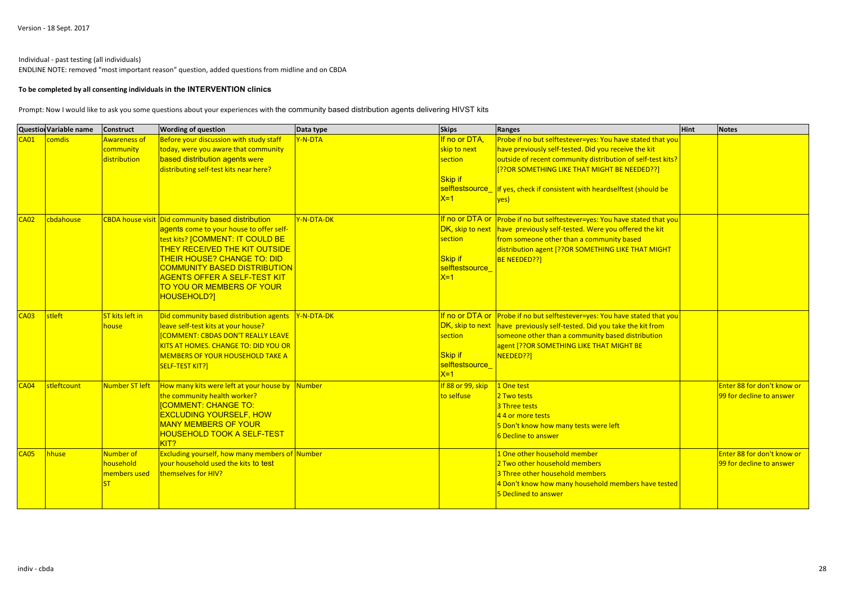### Individual - past testing (all individuals)

ENDLINE NOTE: removed "most important reason" question, added questions from midline and on CBDA

#### **To be completed by all consenting individuals in the INTERVENTION clinics**

Prompt: Now I would like to ask you some questions about your experiences with the community based distribution agents delivering HIVST kits

|                  | <b>Question Variable name</b> | <b>Construct</b>                                 | <b>Wording of question</b>                                                                                                                                                                                                                                                                                                         | Data type  | <b>Skips</b>                                                             | Ranges                                                                                                                                                                                                                                                                                                                | <b>Hint</b> | <b>Notes</b>                                           |
|------------------|-------------------------------|--------------------------------------------------|------------------------------------------------------------------------------------------------------------------------------------------------------------------------------------------------------------------------------------------------------------------------------------------------------------------------------------|------------|--------------------------------------------------------------------------|-----------------------------------------------------------------------------------------------------------------------------------------------------------------------------------------------------------------------------------------------------------------------------------------------------------------------|-------------|--------------------------------------------------------|
| CAO1             | comdis                        | <b>Awareness of</b><br>community<br>distribution | Before your discussion with study staff<br>today, were you aware that community<br>based distribution agents were<br>distributing self-test kits near here?                                                                                                                                                                        | Y-N-DTA    | If no or DTA,<br>skip to next<br>section<br><b>Skip if</b><br>$X=1$      | Probe if no but selftestever=yes: You have stated that you<br>have previously self-tested. Did you receive the kit<br>outside of recent community distribution of self-test kits?<br>[??OR SOMETHING LIKE THAT MIGHT BE NEEDED??]<br>selftestsource_If yes, check if consistent with heardselftest (should be<br>ves) |             |                                                        |
| CA <sub>02</sub> | cbdahouse                     |                                                  | CBDA house visit Did community based distribution<br>agents come to your house to offer self-<br>test kits? [COMMENT: IT COULD BE<br><b>THEY RECEIVED THE KIT OUTSIDE</b><br><b>THEIR HOUSE? CHANGE TO: DID</b><br><b>COMMUNITY BASED DISTRIBUTION</b><br>AGENTS OFFER A SELF-TEST KIT<br>TO YOU OR MEMBERS OF YOUR<br>HOUSEHOLD?] | Y-N-DTA-DK | DK, skip to next<br>section<br><b>Skip if</b><br>selftestsource<br>$X=1$ | If no or DTA or Probe if no but selftestever=yes: You have stated that you<br>have previously self-tested. Were you offered the kit<br>from someone other than a community based<br>distribution agent [??OR SOMETHING LIKE THAT MIGHT<br><b>BE NEEDED??]</b>                                                         |             |                                                        |
| CAO3             | stleft                        | ST kits left in<br>house                         | Did community based distribution agents<br>leave self-test kits at your house?<br><b>COMMENT: CBDAS DON'T REALLY LEAVE</b><br>KITS AT HOMES. CHANGE TO: DID YOU OR<br><b>MEMBERS OF YOUR HOUSEHOLD TAKE A</b><br>SELF-TEST KIT?]                                                                                                   | Y-N-DTA-DK | DK, skip to next<br>section<br><b>Skip if</b><br>selftestsource<br>$X=1$ | If no or DTA or Probe if no but selftestever=yes: You have stated that you<br>have previously self-tested. Did you take the kit from<br>someone other than a community based distribution<br>agent [??OR SOMETHING LIKE THAT MIGHT BE<br>NEEDED??]                                                                    |             |                                                        |
| CA <sub>04</sub> | stleftcount                   | Number ST left                                   | How many kits were left at your house by Number<br>the community health worker?<br><b>[COMMENT: CHANGE TO:</b><br><b>EXCLUDING YOURSELF, HOW</b><br><b>MANY MEMBERS OF YOUR</b><br>HOUSEHOLD TOOK A SELF-TEST<br>KIT?                                                                                                              |            | If 88 or 99, skip<br>to selfuse                                          | 1 One test<br>2 Two tests<br>3 Three tests<br>4 4 or more tests<br>5 Don't know how many tests were left<br>6 Decline to answer                                                                                                                                                                                       |             | Enter 88 for don't know or<br>99 for decline to answer |
| <b>CA05</b>      | hhuse                         | Number of<br>household<br>members used           | Excluding yourself, how many members of Number<br>your household used the kits to test<br>themselves for HIV?                                                                                                                                                                                                                      |            |                                                                          | 1 One other household member<br>2 Two other household members<br>3 Three other household members<br>4 Don't know how many household members have tested<br>5 Declined to answer                                                                                                                                       |             | Enter 88 for don't know or<br>99 for decline to answer |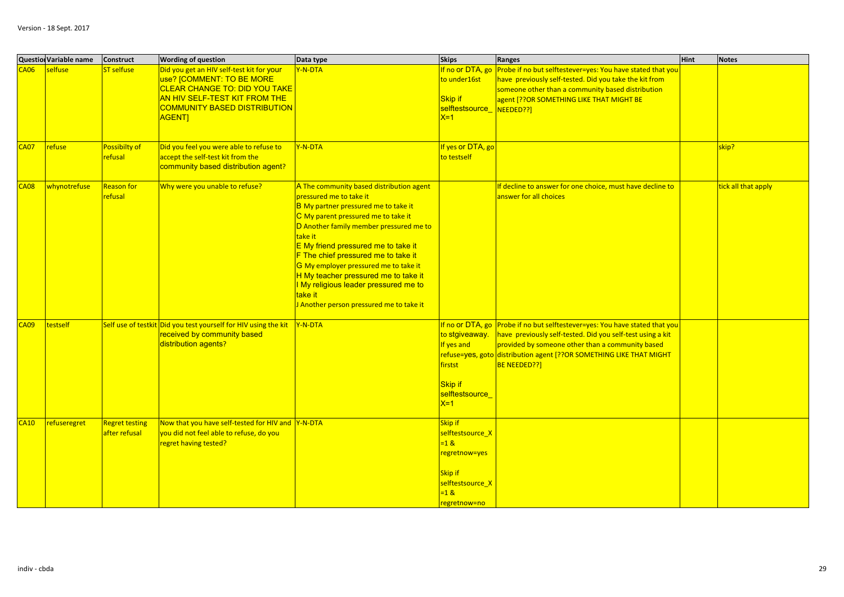|                  | <b>Question Variable name</b> | <b>Construct</b>                | <b>Wording of question</b>                                                                                                                                                                       | Data type                                                                                                                                                                                                                                                                                                                                                                                                                                                               | <b>Skips</b>                                                                                                                | Ranges                                                                                                                                                                                                                                                                               | <b>Hint</b> | <b>Notes</b>        |
|------------------|-------------------------------|---------------------------------|--------------------------------------------------------------------------------------------------------------------------------------------------------------------------------------------------|-------------------------------------------------------------------------------------------------------------------------------------------------------------------------------------------------------------------------------------------------------------------------------------------------------------------------------------------------------------------------------------------------------------------------------------------------------------------------|-----------------------------------------------------------------------------------------------------------------------------|--------------------------------------------------------------------------------------------------------------------------------------------------------------------------------------------------------------------------------------------------------------------------------------|-------------|---------------------|
| CAO6             | selfuse                       | ST selfuse                      | Did you get an HIV self-test kit for your<br>use? [COMMENT: TO BE MORE<br>CLEAR CHANGE TO: DID YOU TAKE<br>AN HIV SELF-TEST KIT FROM THE<br><b>COMMUNITY BASED DISTRIBUTION</b><br><b>AGENT]</b> | Y-N-DTA                                                                                                                                                                                                                                                                                                                                                                                                                                                                 | If no or DTA, go<br>to under16st<br><b>Skip if</b><br>selftestsource_<br>$X=1$                                              | Probe if no but selftestever=yes: You have stated that you<br>have previously self-tested. Did you take the kit from<br>someone other than a community based distribution<br>agent [??OR SOMETHING LIKE THAT MIGHT BE<br>NEEDED??]                                                   |             |                     |
| CAO7             | refuse                        | Possibilty of<br><b>refusal</b> | Did you feel you were able to refuse to<br>accept the self-test kit from the<br>community based distribution agent?                                                                              | Y-N-DTA                                                                                                                                                                                                                                                                                                                                                                                                                                                                 | If yes or DTA, go<br>to testself                                                                                            |                                                                                                                                                                                                                                                                                      |             | skip?               |
| 208 <sup>2</sup> | whynotrefuse                  | Reason for<br>refusal           | Why were you unable to refuse?                                                                                                                                                                   | A The community based distribution agent<br>pressured me to take it<br>B My partner pressured me to take it<br>C My parent pressured me to take it<br>D Another family member pressured me to<br>take it<br>E My friend pressured me to take it<br>F The chief pressured me to take it<br>G My employer pressured me to take it<br>H My teacher pressured me to take it<br>I My religious leader pressured me to<br>take it<br>J Another person pressured me to take it |                                                                                                                             | If decline to answer for one choice, must have decline to<br>answer for all choices                                                                                                                                                                                                  |             | tick all that apply |
| CAO9             | testself                      |                                 | Self use of testkit Did you test yourself for HIV using the kit<br>received by community based<br>distribution agents?                                                                           | Y-N-DTA                                                                                                                                                                                                                                                                                                                                                                                                                                                                 | to stgiveaway.<br>If yes and<br>firstst<br><b>Skip if</b><br>selftestsource<br>$X=1$                                        | If no or DTA, go Probe if no but selftestever=yes: You have stated that you<br>have previously self-tested. Did you self-test using a kit<br>provided by someone other than a community based<br>refuse=yes, goto distribution agent [??OR SOMETHING LIKE THAT MIGHT<br>BE NEEDED??] |             |                     |
| CA10             | refuseregret                  | Regret testing<br>after refusal | Now that you have self-tested for HIV and Y-N-DTA<br>you did not feel able to refuse, do you<br>regret having tested?                                                                            |                                                                                                                                                                                                                                                                                                                                                                                                                                                                         | <b>Skip if</b><br>selftestsource X<br>$=18$<br>regretnow=yes<br><b>Skip if</b><br>selftestsource X<br>$=18$<br>regretnow=no |                                                                                                                                                                                                                                                                                      |             |                     |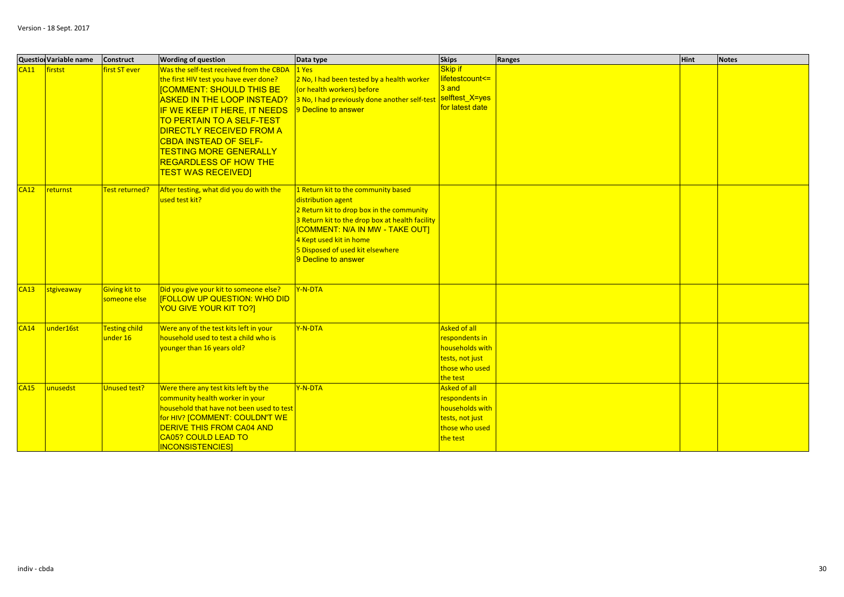|             | <b>Question Variable name</b> | Construct                        | <b>Wording of question</b>                                                                                                                                                                                                                                                                                                                                                                      | Data type                                                                                                                                                                                                                                                                                | <b>Skips</b>                                                                                              | Ranges | <b>Hint</b> | <b>Notes</b> |
|-------------|-------------------------------|----------------------------------|-------------------------------------------------------------------------------------------------------------------------------------------------------------------------------------------------------------------------------------------------------------------------------------------------------------------------------------------------------------------------------------------------|------------------------------------------------------------------------------------------------------------------------------------------------------------------------------------------------------------------------------------------------------------------------------------------|-----------------------------------------------------------------------------------------------------------|--------|-------------|--------------|
| CA11        | firstst                       | <b>first ST ever</b>             | Was the self-test received from the CBDA<br>the first HIV test you have ever done?<br><b>[COMMENT: SHOULD THIS BE</b><br><b>ASKED IN THE LOOP INSTEAD?</b><br>IF WE KEEP IT HERE, IT NEEDS<br><b>TO PERTAIN TO A SELF-TEST</b><br><b>DIRECTLY RECEIVED FROM A</b><br><b>CBDA INSTEAD OF SELF-</b><br><b>TESTING MORE GENERALLY</b><br><b>REGARDLESS OF HOW THE</b><br><b>TEST WAS RECEIVED]</b> | 1 Yes<br>2 No, I had been tested by a health worker<br>(or health workers) before<br>3 No, I had previously done another self-test<br>9 Decline to answer                                                                                                                                | <b>Skip if</b><br>lifetestcount<=<br>$3$ and<br>selftest X=yes<br>for latest date                         |        |             |              |
| CA12        | returnst                      | Test returned?                   | After testing, what did you do with the<br>used test kit?                                                                                                                                                                                                                                                                                                                                       | 1 Return kit to the community based<br>distribution agent<br>2 Return kit to drop box in the community<br>3 Return kit to the drop box at health facility<br><b>COMMENT: N/A IN MW - TAKE OUT]</b><br>4 Kept used kit in home<br>5 Disposed of used kit elsewhere<br>9 Decline to answer |                                                                                                           |        |             |              |
| <b>CA13</b> | stgiveaway                    | Giving kit to<br>someone else    | Did you give your kit to someone else?<br><b>[FOLLOW UP QUESTION: WHO DID</b><br><b>YOU GIVE YOUR KIT TO?]</b>                                                                                                                                                                                                                                                                                  | Y-N-DTA                                                                                                                                                                                                                                                                                  |                                                                                                           |        |             |              |
| CA14        | under16st                     | <b>Testing child</b><br>under 16 | Were any of the test kits left in your<br>household used to test a child who is<br>younger than 16 years old?                                                                                                                                                                                                                                                                                   | Y-N-DTA                                                                                                                                                                                                                                                                                  | <b>Asked of all</b><br>respondents in<br>households with<br>tests, not just<br>those who used<br>the test |        |             |              |
| CA15        | unusedst                      | Unused test?                     | Were there any test kits left by the<br>community health worker in your<br>household that have not been used to test<br>for HIV? [COMMENT: COULDN'T WE<br><b>DERIVE THIS FROM CA04 AND</b><br><b>CA05? COULD LEAD TO</b><br><b>INCONSISTENCIES</b>                                                                                                                                              | Y-N-DTA                                                                                                                                                                                                                                                                                  | <b>Asked of all</b><br>respondents in<br>households with<br>tests, not just<br>those who used<br>the test |        |             |              |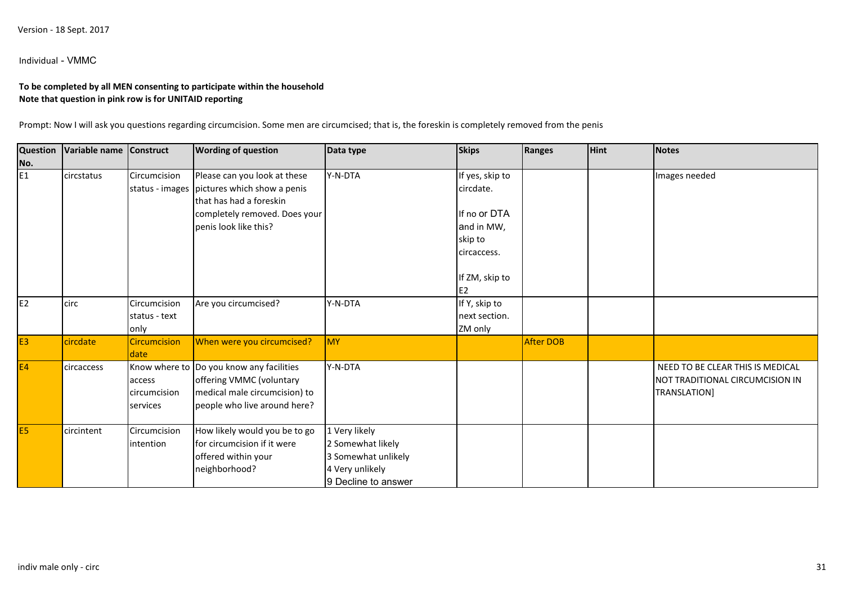Individual - VMMC

# **To be completed by all MEN consenting to participate within the householdNote that question in pink row is for UNITAID reporting**

Prompt: Now I will ask you questions regarding circumcision. Some men are circumcised; that is, the foreskin is completely removed from the penis

| <b>Question</b> | Variable name | Construct           | <b>Wording of question</b>                  | Data type           | <b>Skips</b>    | Ranges           | <b>Hint</b> | <b>Notes</b>                     |
|-----------------|---------------|---------------------|---------------------------------------------|---------------------|-----------------|------------------|-------------|----------------------------------|
| No.             |               |                     |                                             |                     |                 |                  |             |                                  |
| E <sub>1</sub>  | circstatus    | Circumcision        | Please can you look at these                | Y-N-DTA             | If yes, skip to |                  |             | Images needed                    |
|                 |               |                     | status - images pictures which show a penis |                     | circdate.       |                  |             |                                  |
|                 |               |                     | that has had a foreskin                     |                     |                 |                  |             |                                  |
|                 |               |                     | completely removed. Does your               |                     | If no or DTA    |                  |             |                                  |
|                 |               |                     | penis look like this?                       |                     | and in MW,      |                  |             |                                  |
|                 |               |                     |                                             |                     | skip to         |                  |             |                                  |
|                 |               |                     |                                             |                     | circaccess.     |                  |             |                                  |
|                 |               |                     |                                             |                     |                 |                  |             |                                  |
|                 |               |                     |                                             |                     | If ZM, skip to  |                  |             |                                  |
|                 |               |                     |                                             |                     | E <sub>2</sub>  |                  |             |                                  |
| E <sub>2</sub>  | circ          | Circumcision        | Are you circumcised?                        | Y-N-DTA             | If Y, skip to   |                  |             |                                  |
|                 |               | status - text       |                                             |                     | next section.   |                  |             |                                  |
|                 |               | only                |                                             |                     | ZM only         |                  |             |                                  |
| E <sub>3</sub>  | circdate      | <b>Circumcision</b> | When were you circumcised?                  | MY                  |                 | <b>After DOB</b> |             |                                  |
|                 |               | date                |                                             |                     |                 |                  |             |                                  |
| E4              | circaccess    |                     | Know where to Do you know any facilities    | Y-N-DTA             |                 |                  |             | NEED TO BE CLEAR THIS IS MEDICAL |
|                 |               | access              | offering VMMC (voluntary                    |                     |                 |                  |             | NOT TRADITIONAL CIRCUMCISION IN  |
|                 |               | circumcision        | medical male circumcision) to               |                     |                 |                  |             | TRANSLATION]                     |
|                 |               | services            | people who live around here?                |                     |                 |                  |             |                                  |
|                 |               |                     |                                             |                     |                 |                  |             |                                  |
| E <sub>5</sub>  | circintent    | Circumcision        | How likely would you be to go               | 1 Very likely       |                 |                  |             |                                  |
|                 |               | intention           | for circumcision if it were                 | 2 Somewhat likely   |                 |                  |             |                                  |
|                 |               |                     | offered within your                         | 3 Somewhat unlikely |                 |                  |             |                                  |
|                 |               |                     | neighborhood?                               | 4 Very unlikely     |                 |                  |             |                                  |
|                 |               |                     |                                             | 9 Decline to answer |                 |                  |             |                                  |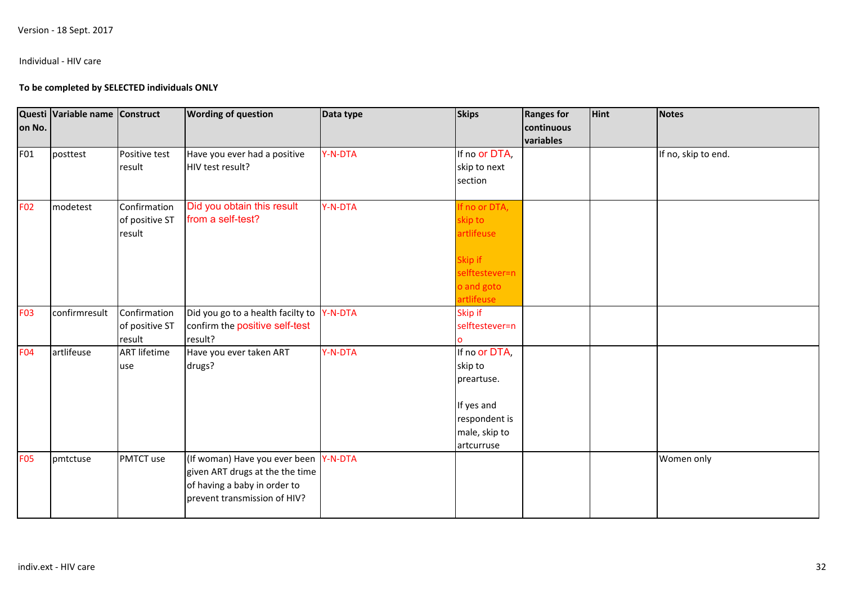## Individual - HIV care

## **To be completed by SELECTED individuals ONLY**

| on No.     | Questi Variable name Construct |                                          | <b>Wording of question</b>                                                                                                               | Data type | <b>Skips</b>                                                                                         | <b>Ranges for</b><br>continuous<br>variables | <b>Hint</b> | <b>Notes</b>        |
|------------|--------------------------------|------------------------------------------|------------------------------------------------------------------------------------------------------------------------------------------|-----------|------------------------------------------------------------------------------------------------------|----------------------------------------------|-------------|---------------------|
| F01        | posttest                       | Positive test<br>result                  | Have you ever had a positive<br>HIV test result?                                                                                         | Y-N-DTA   | If no or DTA,<br>skip to next<br>section                                                             |                                              |             | If no, skip to end. |
| <b>F02</b> | modetest                       | Confirmation<br>of positive ST<br>result | Did you obtain this result<br>from a self-test?                                                                                          | Y-N-DTA   | If no or DTA,<br>skip to<br>artlifeuse<br>Skip if<br>selftestever=n<br>o and goto<br>artlifeuse      |                                              |             |                     |
| <b>F03</b> | confirmresult                  | Confirmation<br>of positive ST<br>result | Did you go to a health facilty to<br>confirm the positive self-test<br>result?                                                           | Y-N-DTA   | Skip if<br>selftestever=n                                                                            |                                              |             |                     |
| <b>F04</b> | artlifeuse                     | <b>ART lifetime</b><br>use               | Have you ever taken ART<br>drugs?                                                                                                        | Y-N-DTA   | If no or DTA,<br>skip to<br>preartuse.<br>If yes and<br>respondent is<br>male, skip to<br>artcurruse |                                              |             |                     |
| <b>F05</b> | pmtctuse                       | PMTCT use                                | (If woman) Have you ever been Y-N-DTA<br>given ART drugs at the the time<br>of having a baby in order to<br>prevent transmission of HIV? |           |                                                                                                      |                                              |             | Women only          |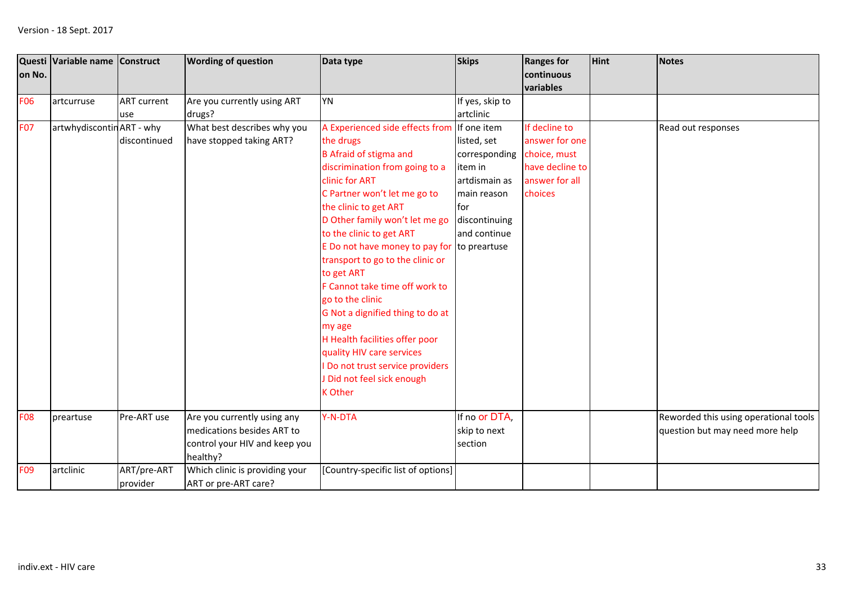| on No.          | Questi Variable name Construct |                    | <b>Wording of question</b>     | Data type                                   | <b>Skips</b>    | <b>Ranges for</b><br>continuous<br>variables | Hint | <b>Notes</b>                          |
|-----------------|--------------------------------|--------------------|--------------------------------|---------------------------------------------|-----------------|----------------------------------------------|------|---------------------------------------|
| <b>F06</b>      | artcurruse                     | <b>ART</b> current | Are you currently using ART    | <b>YN</b>                                   | If yes, skip to |                                              |      |                                       |
|                 |                                | use                | drugs?                         |                                             | artclinic       |                                              |      |                                       |
| <b>F07</b>      | artwhydiscontin ART - why      |                    | What best describes why you    | A Experienced side effects from If one item |                 | If decline to                                |      | Read out responses                    |
|                 |                                | discontinued       | have stopped taking ART?       | the drugs                                   | listed, set     | answer for one                               |      |                                       |
|                 |                                |                    |                                | <b>B</b> Afraid of stigma and               | corresponding   | choice, must                                 |      |                                       |
|                 |                                |                    |                                | discrimination from going to a              | item in         | have decline to                              |      |                                       |
|                 |                                |                    |                                | clinic for ART                              | artdismain as   | answer for all                               |      |                                       |
|                 |                                |                    |                                | C Partner won't let me go to                | main reason     | choices                                      |      |                                       |
|                 |                                |                    |                                | the clinic to get ART                       | lfor            |                                              |      |                                       |
|                 |                                |                    |                                | D Other family won't let me go              | discontinuing   |                                              |      |                                       |
|                 |                                |                    |                                | to the clinic to get ART                    | and continue    |                                              |      |                                       |
|                 |                                |                    |                                | E Do not have money to pay for to preartuse |                 |                                              |      |                                       |
|                 |                                |                    |                                | transport to go to the clinic or            |                 |                                              |      |                                       |
|                 |                                |                    |                                | to get ART                                  |                 |                                              |      |                                       |
|                 |                                |                    |                                | F Cannot take time off work to              |                 |                                              |      |                                       |
|                 |                                |                    |                                | go to the clinic                            |                 |                                              |      |                                       |
|                 |                                |                    |                                | G Not a dignified thing to do at            |                 |                                              |      |                                       |
|                 |                                |                    |                                | my age                                      |                 |                                              |      |                                       |
|                 |                                |                    |                                | H Health facilities offer poor              |                 |                                              |      |                                       |
|                 |                                |                    |                                | quality HIV care services                   |                 |                                              |      |                                       |
|                 |                                |                    |                                | Do not trust service providers              |                 |                                              |      |                                       |
|                 |                                |                    |                                | J Did not feel sick enough                  |                 |                                              |      |                                       |
|                 |                                |                    |                                | <b>K</b> Other                              |                 |                                              |      |                                       |
|                 |                                |                    |                                |                                             |                 |                                              |      |                                       |
| <b>F08</b>      | preartuse                      | Pre-ART use        | Are you currently using any    | Y-N-DTA                                     | If no or DTA,   |                                              |      | Reworded this using operational tools |
|                 |                                |                    | medications besides ART to     |                                             | skip to next    |                                              |      | question but may need more help       |
|                 |                                |                    | control your HIV and keep you  |                                             | section         |                                              |      |                                       |
|                 |                                |                    | healthy?                       |                                             |                 |                                              |      |                                       |
| F <sub>09</sub> | artclinic                      | ART/pre-ART        | Which clinic is providing your | [Country-specific list of options]          |                 |                                              |      |                                       |
|                 |                                | provider           | ART or pre-ART care?           |                                             |                 |                                              |      |                                       |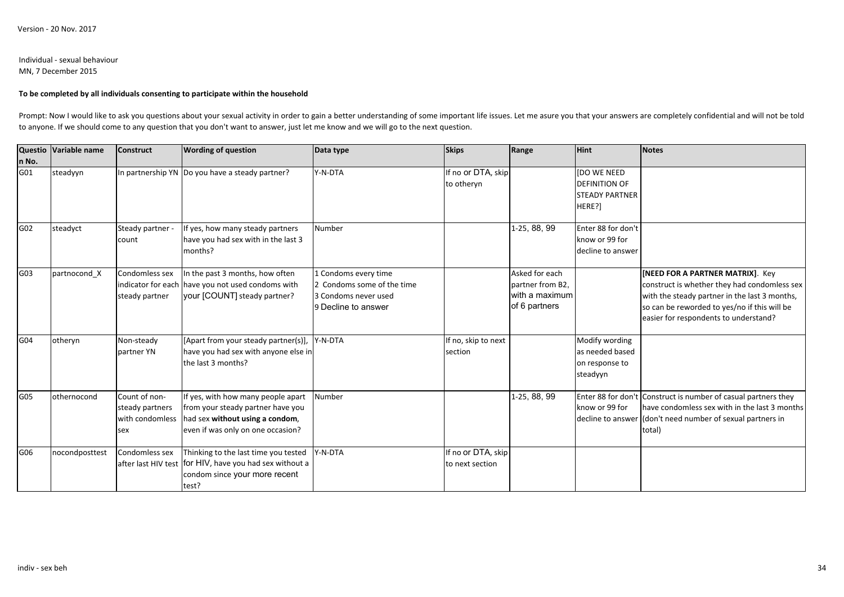### Individual - sexual behaviourMN, 7 December 2015

### **To be completed by all individuals consenting to participate within the household**

Prompt: Now I would like to ask you questions about your sexual activity in order to gain a better understanding of some important life issues. Let me asure you that your answers are completely confidential and will not be to anyone. If we should come to any question that you don't want to answer, just let me know and we will go to the next question.

|       | Questio Variable name | <b>Construct</b> | <b>Wording of question</b>                              | Data type                  | <b>Skips</b>        | Range            | <b>Hint</b>           | <b>Notes</b>                                                   |
|-------|-----------------------|------------------|---------------------------------------------------------|----------------------------|---------------------|------------------|-----------------------|----------------------------------------------------------------|
| n No. |                       |                  |                                                         |                            |                     |                  |                       |                                                                |
| G01   | steadyyn              |                  | In partnership YN Do you have a steady partner?         | Y-N-DTA                    | If no or DTA, skip  |                  | <b>[DO WE NEED</b>    |                                                                |
|       |                       |                  |                                                         |                            | to otheryn          |                  | <b>DEFINITION OF</b>  |                                                                |
|       |                       |                  |                                                         |                            |                     |                  | <b>STEADY PARTNER</b> |                                                                |
|       |                       |                  |                                                         |                            |                     |                  | HERE?]                |                                                                |
| G02   | steadyct              | Steady partner - | If yes, how many steady partners                        | Number                     |                     | 1-25, 88, 99     | Enter 88 for don't    |                                                                |
|       |                       | count            | have you had sex with in the last 3                     |                            |                     |                  | know or 99 for        |                                                                |
|       |                       |                  | months?                                                 |                            |                     |                  | decline to answer     |                                                                |
| G03   | partnocond X          | Condomless sex   | In the past 3 months, how often                         | 1 Condoms every time       |                     | Asked for each   |                       | [NEED FOR A PARTNER MATRIX]. Key                               |
|       |                       |                  | indicator for each have you not used condoms with       | 2 Condoms some of the time |                     | partner from B2. |                       | construct is whether they had condomless sex                   |
|       |                       | steady partner   | your [COUNT] steady partner?                            | 3 Condoms never used       |                     | with a maximum   |                       | with the steady partner in the last 3 months,                  |
|       |                       |                  |                                                         | 9 Decline to answer        |                     | of 6 partners    |                       | so can be reworded to yes/no if this will be                   |
|       |                       |                  |                                                         |                            |                     |                  |                       | easier for respondents to understand?                          |
| G04   | otheryn               | Non-steady       | [Apart from your steady partner(s)],                    | Y-N-DTA                    | If no, skip to next |                  | Modify wording        |                                                                |
|       |                       | partner YN       | have you had sex with anyone else in                    |                            | section             |                  | as needed based       |                                                                |
|       |                       |                  | the last 3 months?                                      |                            |                     |                  | on response to        |                                                                |
|       |                       |                  |                                                         |                            |                     |                  | steadyyn              |                                                                |
| G05   | othernocond           | Count of non-    | If yes, with how many people apart                      | Number                     |                     | 1-25, 88, 99     |                       | Enter 88 for don't Construct is number of casual partners they |
|       |                       | steady partners  | from your steady partner have you                       |                            |                     |                  | know or 99 for        | have condomless sex with in the last 3 months                  |
|       |                       | with condomless  | had sex without using a condom,                         |                            |                     |                  |                       | decline to answer (don't need number of sexual partners in     |
|       |                       | sex              | even if was only on one occasion?                       |                            |                     |                  |                       | total)                                                         |
| G06   | nocondposttest        | Condomless sex   | Thinking to the last time you tested                    | Y-N-DTA                    | If no or DTA, skip  |                  |                       |                                                                |
|       |                       |                  | after last HIV test for HIV, have you had sex without a |                            | to next section     |                  |                       |                                                                |
|       |                       |                  | condom since your more recent                           |                            |                     |                  |                       |                                                                |
|       |                       |                  | test?                                                   |                            |                     |                  |                       |                                                                |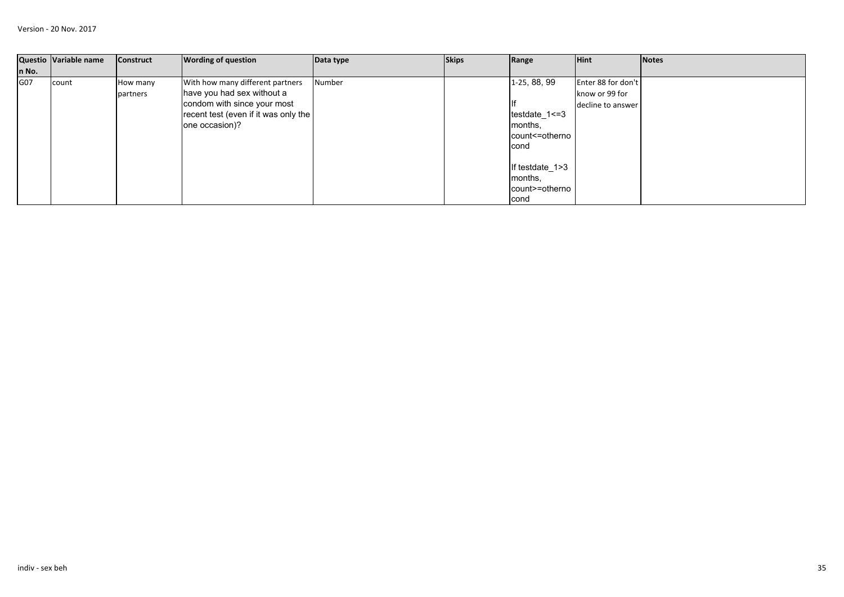|       | Questio Variable name | <b>Construct</b> | <b>Wording of question</b>           | Data type | <b>Skips</b> | Range           | <b>Hint</b>        | Notes |
|-------|-----------------------|------------------|--------------------------------------|-----------|--------------|-----------------|--------------------|-------|
| n No. |                       |                  |                                      |           |              |                 |                    |       |
| G07   | count                 | How many         | With how many different partners     | Number    |              | 1-25, 88, 99    | Enter 88 for don't |       |
|       |                       | partners         | have you had sex without a           |           |              |                 | know or 99 for     |       |
|       |                       |                  | condom with since your most          |           |              |                 | decline to answer  |       |
|       |                       |                  | recent test (even if it was only the |           |              | testdate_1<=3   |                    |       |
|       |                       |                  | one occasion)?                       |           |              | months.         |                    |       |
|       |                       |                  |                                      |           |              | count<=otherno  |                    |       |
|       |                       |                  |                                      |           |              | cond            |                    |       |
|       |                       |                  |                                      |           |              |                 |                    |       |
|       |                       |                  |                                      |           |              | If testdate_1>3 |                    |       |
|       |                       |                  |                                      |           |              | months.         |                    |       |
|       |                       |                  |                                      |           |              | count>=otherno  |                    |       |
|       |                       |                  |                                      |           |              | cond            |                    |       |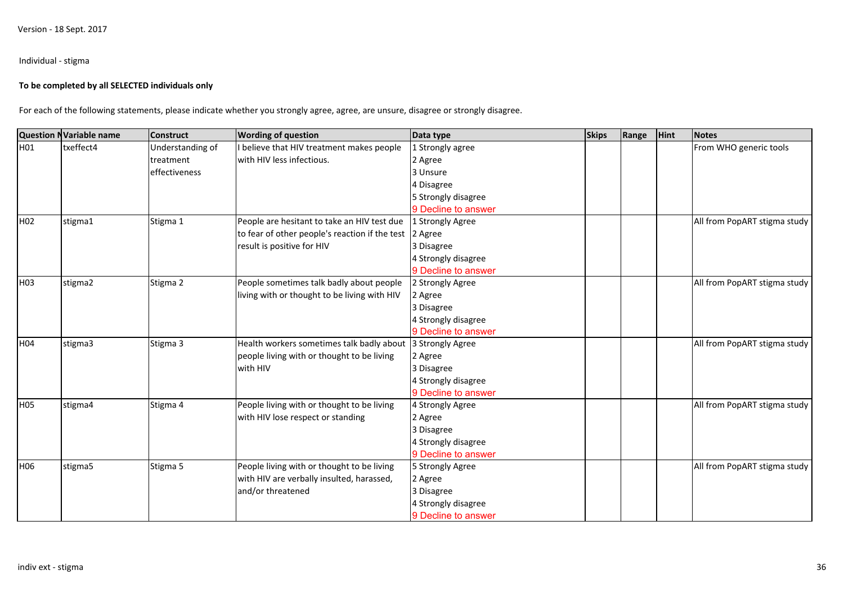## Individual - stigma

### **To be completed by all SELECTED individuals only**

For each of the following statements, please indicate whether you strongly agree, agree, are unsure, disagree or strongly disagree.

|                 | <b>Question NVariable name</b> | <b>Construct</b> | <b>Wording of question</b>                             | Data type           | <b>Skips</b> | Range | <b>Hint</b> | Notes                        |
|-----------------|--------------------------------|------------------|--------------------------------------------------------|---------------------|--------------|-------|-------------|------------------------------|
| H01             | txeffect4                      | Understanding of | believe that HIV treatment makes people                | 1 Strongly agree    |              |       |             | From WHO generic tools       |
|                 |                                | treatment        | with HIV less infectious.                              | 2 Agree             |              |       |             |                              |
|                 |                                | effectiveness    |                                                        | 3 Unsure            |              |       |             |                              |
|                 |                                |                  |                                                        | 4 Disagree          |              |       |             |                              |
|                 |                                |                  |                                                        | 5 Strongly disagree |              |       |             |                              |
|                 |                                |                  |                                                        | 9 Decline to answer |              |       |             |                              |
| H <sub>02</sub> | stigma1                        | Stigma 1         | People are hesitant to take an HIV test due            | 1 Strongly Agree    |              |       |             | All from PopART stigma study |
|                 |                                |                  | to fear of other people's reaction if the test 2 Agree |                     |              |       |             |                              |
|                 |                                |                  | result is positive for HIV                             | 3 Disagree          |              |       |             |                              |
|                 |                                |                  |                                                        | 4 Strongly disagree |              |       |             |                              |
|                 |                                |                  |                                                        | 9 Decline to answer |              |       |             |                              |
| H03             | stigma2                        | Stigma 2         | People sometimes talk badly about people               | 2 Strongly Agree    |              |       |             | All from PopART stigma study |
|                 |                                |                  | living with or thought to be living with HIV           | 2 Agree             |              |       |             |                              |
|                 |                                |                  |                                                        | 3 Disagree          |              |       |             |                              |
|                 |                                |                  |                                                        | 4 Strongly disagree |              |       |             |                              |
|                 |                                |                  |                                                        | 9 Decline to answer |              |       |             |                              |
| H04             | stigma3                        | Stigma 3         | Health workers sometimes talk badly about              | 3 Strongly Agree    |              |       |             | All from PopART stigma study |
|                 |                                |                  | people living with or thought to be living             | 2 Agree             |              |       |             |                              |
|                 |                                |                  | with HIV                                               | 3 Disagree          |              |       |             |                              |
|                 |                                |                  |                                                        | 4 Strongly disagree |              |       |             |                              |
|                 |                                |                  |                                                        | 9 Decline to answer |              |       |             |                              |
| H05             | stigma4                        | Stigma 4         | People living with or thought to be living             | 4 Strongly Agree    |              |       |             | All from PopART stigma study |
|                 |                                |                  | with HIV lose respect or standing                      | 2 Agree             |              |       |             |                              |
|                 |                                |                  |                                                        | 3 Disagree          |              |       |             |                              |
|                 |                                |                  |                                                        | 4 Strongly disagree |              |       |             |                              |
|                 |                                |                  |                                                        | 9 Decline to answer |              |       |             |                              |
| H06             | stigma5                        | Stigma 5         | People living with or thought to be living             | 5 Strongly Agree    |              |       |             | All from PopART stigma study |
|                 |                                |                  | with HIV are verbally insulted, harassed,              | 2 Agree             |              |       |             |                              |
|                 |                                |                  | and/or threatened                                      | 3 Disagree          |              |       |             |                              |
|                 |                                |                  |                                                        | 4 Strongly disagree |              |       |             |                              |
|                 |                                |                  |                                                        | 9 Decline to answer |              |       |             |                              |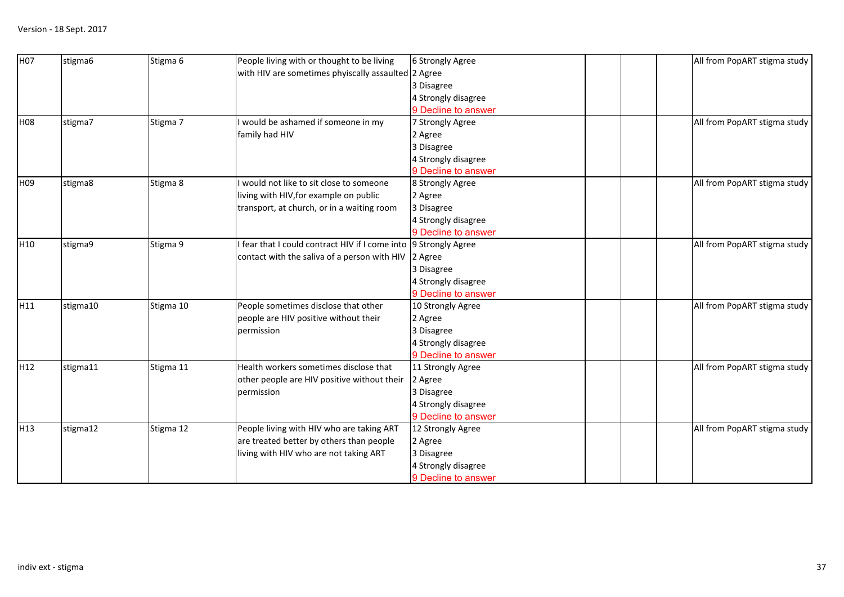| H <sub>07</sub> | stigma6  | Stigma 6  | People living with or thought to be living                       | 6 Strongly Agree    | All from PopART stigma study |
|-----------------|----------|-----------|------------------------------------------------------------------|---------------------|------------------------------|
|                 |          |           | with HIV are sometimes phyiscally assaulted 2 Agree              |                     |                              |
|                 |          |           |                                                                  | 3 Disagree          |                              |
|                 |          |           |                                                                  | 4 Strongly disagree |                              |
|                 |          |           |                                                                  | 9 Decline to answer |                              |
| <b>H08</b>      | stigma7  | Stigma 7  | I would be ashamed if someone in my                              | 7 Strongly Agree    | All from PopART stigma study |
|                 |          |           | family had HIV                                                   | 2 Agree             |                              |
|                 |          |           |                                                                  | 3 Disagree          |                              |
|                 |          |           |                                                                  | 4 Strongly disagree |                              |
|                 |          |           |                                                                  | 9 Decline to answer |                              |
| H <sub>09</sub> | stigma8  | Stigma 8  | would not like to sit close to someone                           | 8 Strongly Agree    | All from PopART stigma study |
|                 |          |           | living with HIV, for example on public                           | 2 Agree             |                              |
|                 |          |           | transport, at church, or in a waiting room                       | 3 Disagree          |                              |
|                 |          |           |                                                                  | 4 Strongly disagree |                              |
|                 |          |           |                                                                  | 9 Decline to answer |                              |
| H <sub>10</sub> | stigma9  | Stigma 9  | I fear that I could contract HIV if I come into 9 Strongly Agree |                     | All from PopART stigma study |
|                 |          |           | contact with the saliva of a person with HIV   2 Agree           |                     |                              |
|                 |          |           |                                                                  | 3 Disagree          |                              |
|                 |          |           |                                                                  | 4 Strongly disagree |                              |
|                 |          |           |                                                                  | 9 Decline to answer |                              |
| H11             | stigma10 | Stigma 10 | People sometimes disclose that other                             | 10 Strongly Agree   | All from PopART stigma study |
|                 |          |           | people are HIV positive without their                            | 2 Agree             |                              |
|                 |          |           | permission                                                       | 3 Disagree          |                              |
|                 |          |           |                                                                  | 4 Strongly disagree |                              |
|                 |          |           |                                                                  | 9 Decline to answer |                              |
| H <sub>12</sub> | stigma11 | Stigma 11 | Health workers sometimes disclose that                           | 11 Strongly Agree   | All from PopART stigma study |
|                 |          |           | other people are HIV positive without their  2 Agree             |                     |                              |
|                 |          |           | permission                                                       | 3 Disagree          |                              |
|                 |          |           |                                                                  | 4 Strongly disagree |                              |
|                 |          |           |                                                                  | 9 Decline to answer |                              |
| H <sub>13</sub> | stigma12 | Stigma 12 | People living with HIV who are taking ART                        | 12 Strongly Agree   | All from PopART stigma study |
|                 |          |           | are treated better by others than people                         | 2 Agree             |                              |
|                 |          |           | living with HIV who are not taking ART                           | 3 Disagree          |                              |
|                 |          |           |                                                                  | 4 Strongly disagree |                              |
|                 |          |           |                                                                  | 9 Decline to answer |                              |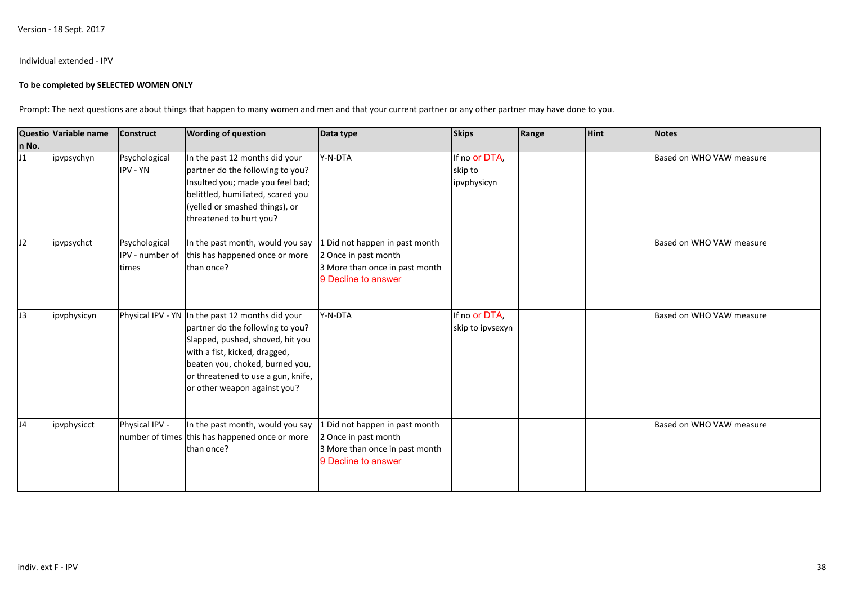### Individual extended - IPV

### **To be completed by SELECTED WOMEN ONLY**

Prompt: The next questions are about things that happen to many women and men and that your current partner or any other partner may have done to you.

|       | Questio Variable name | <b>Construct</b>                          | <b>Wording of question</b>                                                                                                                                                                                                                                         | Data type                                                                                                       | <b>Skips</b>                            | Range | Hint | <b>Notes</b>             |
|-------|-----------------------|-------------------------------------------|--------------------------------------------------------------------------------------------------------------------------------------------------------------------------------------------------------------------------------------------------------------------|-----------------------------------------------------------------------------------------------------------------|-----------------------------------------|-------|------|--------------------------|
| n No. |                       |                                           |                                                                                                                                                                                                                                                                    |                                                                                                                 |                                         |       |      |                          |
| J1    | ipvpsychyn            | Psychological<br><b>IPV - YN</b>          | In the past 12 months did your<br>partner do the following to you?<br>Insulted you; made you feel bad;<br>belittled, humiliated, scared you<br>(yelled or smashed things), or<br>threatened to hurt you?                                                           | Y-N-DTA                                                                                                         | If no or DTA,<br>skip to<br>ipvphysicyn |       |      | Based on WHO VAW measure |
| J2    | ipvpsychct            | Psychological<br>IPV - number of<br>times | In the past month, would you say<br>this has happened once or more<br>than once?                                                                                                                                                                                   | 1 Did not happen in past month<br>2 Once in past month<br>3 More than once in past month<br>9 Decline to answer |                                         |       |      | Based on WHO VAW measure |
| J3    | ipvphysicyn           |                                           | Physical IPV - YN In the past 12 months did your<br>partner do the following to you?<br>Slapped, pushed, shoved, hit you<br>with a fist, kicked, dragged,<br>beaten you, choked, burned you,<br>or threatened to use a gun, knife,<br>or other weapon against you? | Y-N-DTA                                                                                                         | If no or DTA,<br>skip to ipvsexyn       |       |      | Based on WHO VAW measure |
| J4    | ipvphysicct           | Physical IPV -                            | In the past month, would you say<br>number of times this has happened once or more<br>than once?                                                                                                                                                                   | 1 Did not happen in past month<br>2 Once in past month<br>3 More than once in past month<br>9 Decline to answer |                                         |       |      | Based on WHO VAW measure |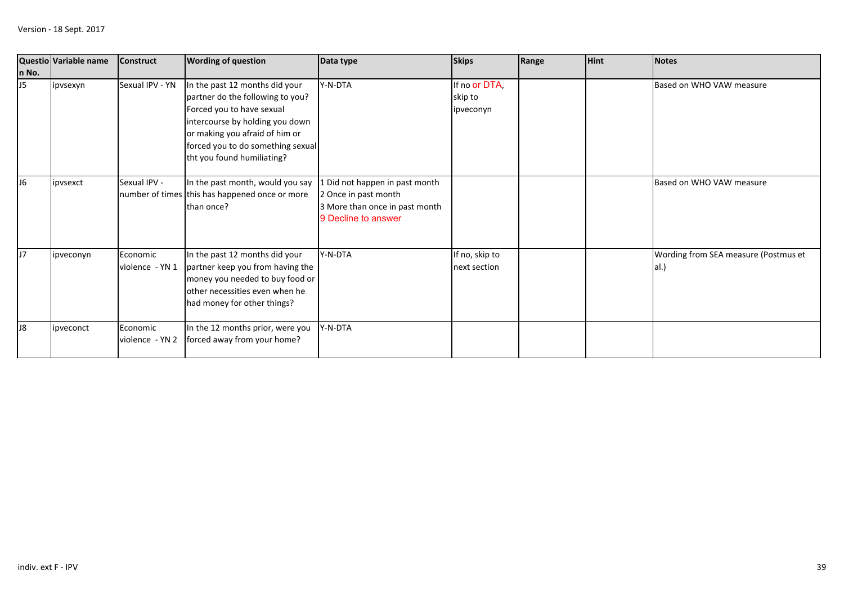|                | Questio Variable name | <b>Construct</b>            | <b>Wording of question</b>                                                                                                                                                                                                              | Data type                                                                                                       | <b>Skips</b>                          | Range | <b>Hint</b> | Notes                                        |
|----------------|-----------------------|-----------------------------|-----------------------------------------------------------------------------------------------------------------------------------------------------------------------------------------------------------------------------------------|-----------------------------------------------------------------------------------------------------------------|---------------------------------------|-------|-------------|----------------------------------------------|
| n No.          |                       |                             |                                                                                                                                                                                                                                         |                                                                                                                 |                                       |       |             |                                              |
| J5             | ipvsexyn              | Sexual IPV - YN             | In the past 12 months did your<br>partner do the following to you?<br>Forced you to have sexual<br>intercourse by holding you down<br>or making you afraid of him or<br>forced you to do something sexual<br>tht you found humiliating? | Y-N-DTA                                                                                                         | If no or DTA,<br>skip to<br>ipveconyn |       |             | Based on WHO VAW measure                     |
| J <sub>6</sub> | ipvsexct              | Sexual IPV -                | In the past month, would you say<br>number of times this has happened once or more<br>than once?                                                                                                                                        | 1 Did not happen in past month<br>2 Once in past month<br>3 More than once in past month<br>9 Decline to answer |                                       |       |             | Based on WHO VAW measure                     |
| J7             | ipveconyn             | Economic<br>violence - YN 1 | In the past 12 months did your<br>partner keep you from having the<br>money you needed to buy food or<br>other necessities even when he<br>had money for other things?                                                                  | Y-N-DTA                                                                                                         | If no, skip to<br>next section        |       |             | Wording from SEA measure (Postmus et<br>al.) |
| J <sub>8</sub> | ipveconct             | Economic<br>violence - YN 2 | In the 12 months prior, were you<br>forced away from your home?                                                                                                                                                                         | Y-N-DTA                                                                                                         |                                       |       |             |                                              |